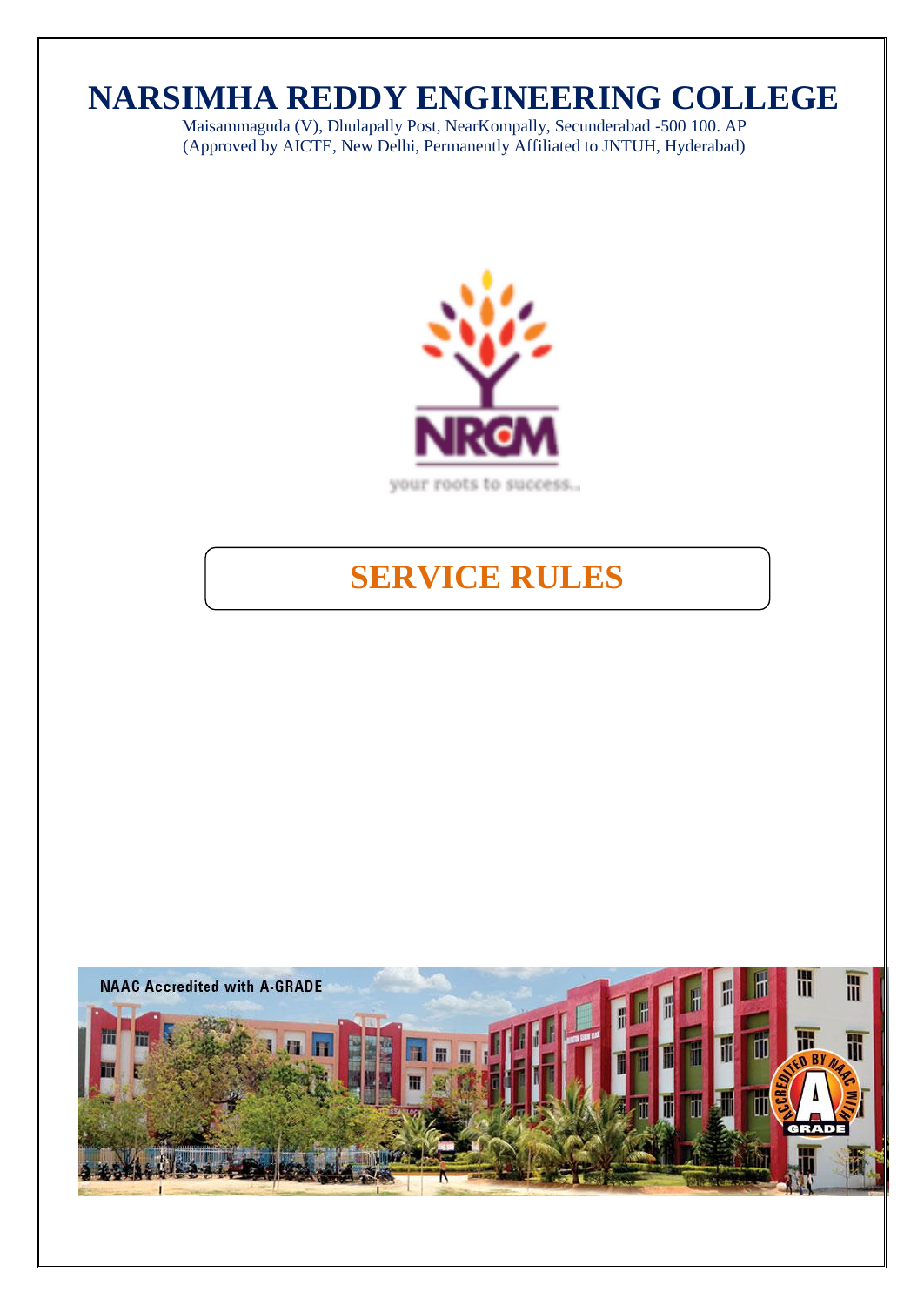# **NARSIMHA REDDY ENGINEERING COLLEGE**

Maisammaguda (V), Dhulapally Post, NearKompally, Secunderabad -500 100. AP (Approved by AICTE, New Delhi, Permanently Affiliated to JNTUH, Hyderabad)



# **SERVICE RULES**

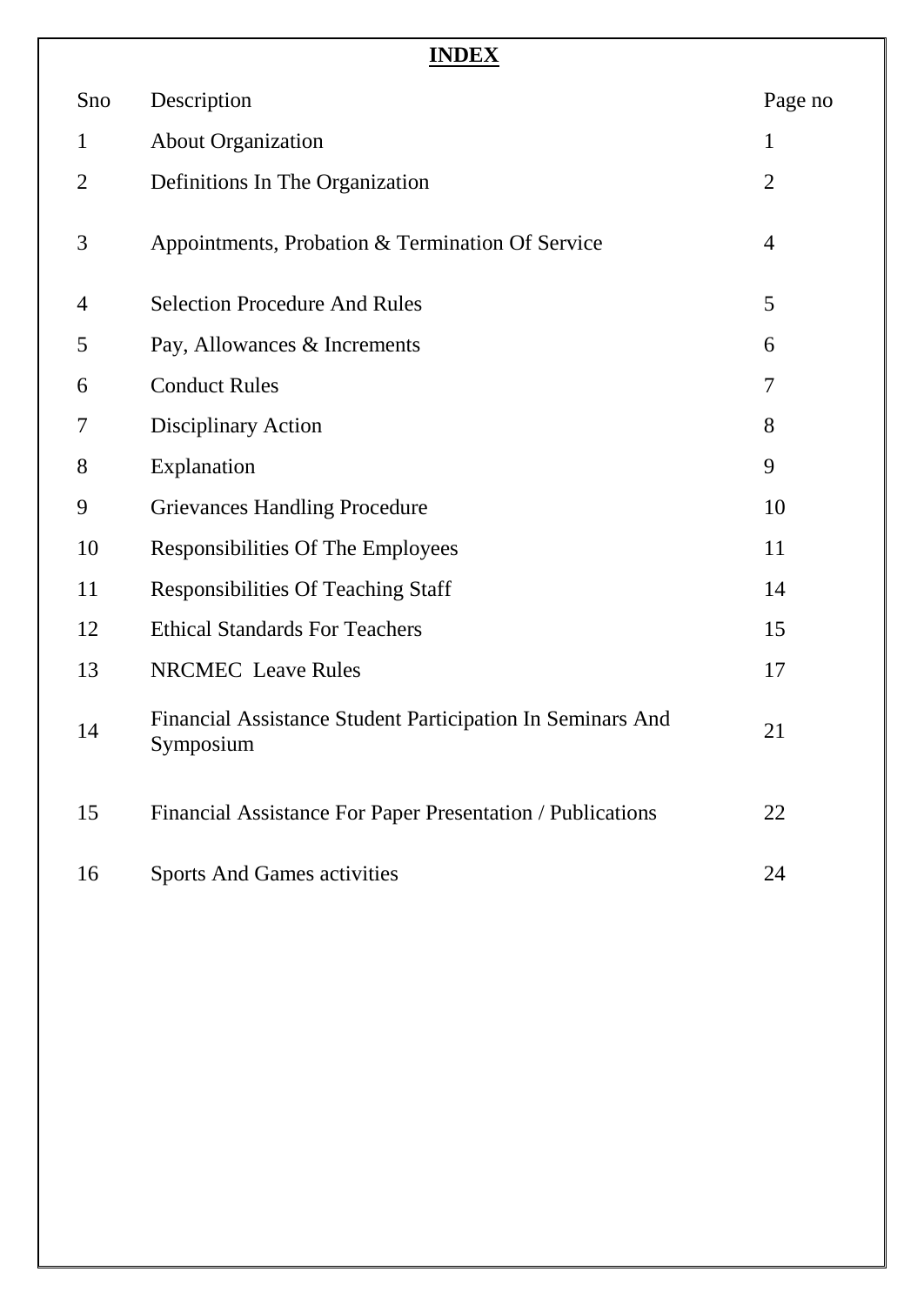| ۰,<br>۰. |
|----------|
|----------|

| Sno            | Description                                                             | Page no        |
|----------------|-------------------------------------------------------------------------|----------------|
| $\mathbf{1}$   | <b>About Organization</b>                                               | $\mathbf{1}$   |
| $\overline{2}$ | Definitions In The Organization                                         | $\overline{2}$ |
| 3              | Appointments, Probation & Termination Of Service                        | $\overline{4}$ |
| 4              | <b>Selection Procedure And Rules</b>                                    | 5              |
| 5              | Pay, Allowances & Increments                                            | 6              |
| 6              | <b>Conduct Rules</b>                                                    | 7              |
| 7              | Disciplinary Action                                                     | 8              |
| 8              | Explanation                                                             | 9              |
| 9              | <b>Grievances Handling Procedure</b>                                    | 10             |
| 10             | Responsibilities Of The Employees                                       | 11             |
| 11             | <b>Responsibilities Of Teaching Staff</b>                               | 14             |
| 12             | <b>Ethical Standards For Teachers</b>                                   | 15             |
| 13             | <b>NRCMEC</b> Leave Rules                                               | 17             |
| 14             | Financial Assistance Student Participation In Seminars And<br>Symposium | 21             |
| 15             | Financial Assistance For Paper Presentation / Publications              | 22             |
| 16             | <b>Sports And Games activities</b>                                      | 24             |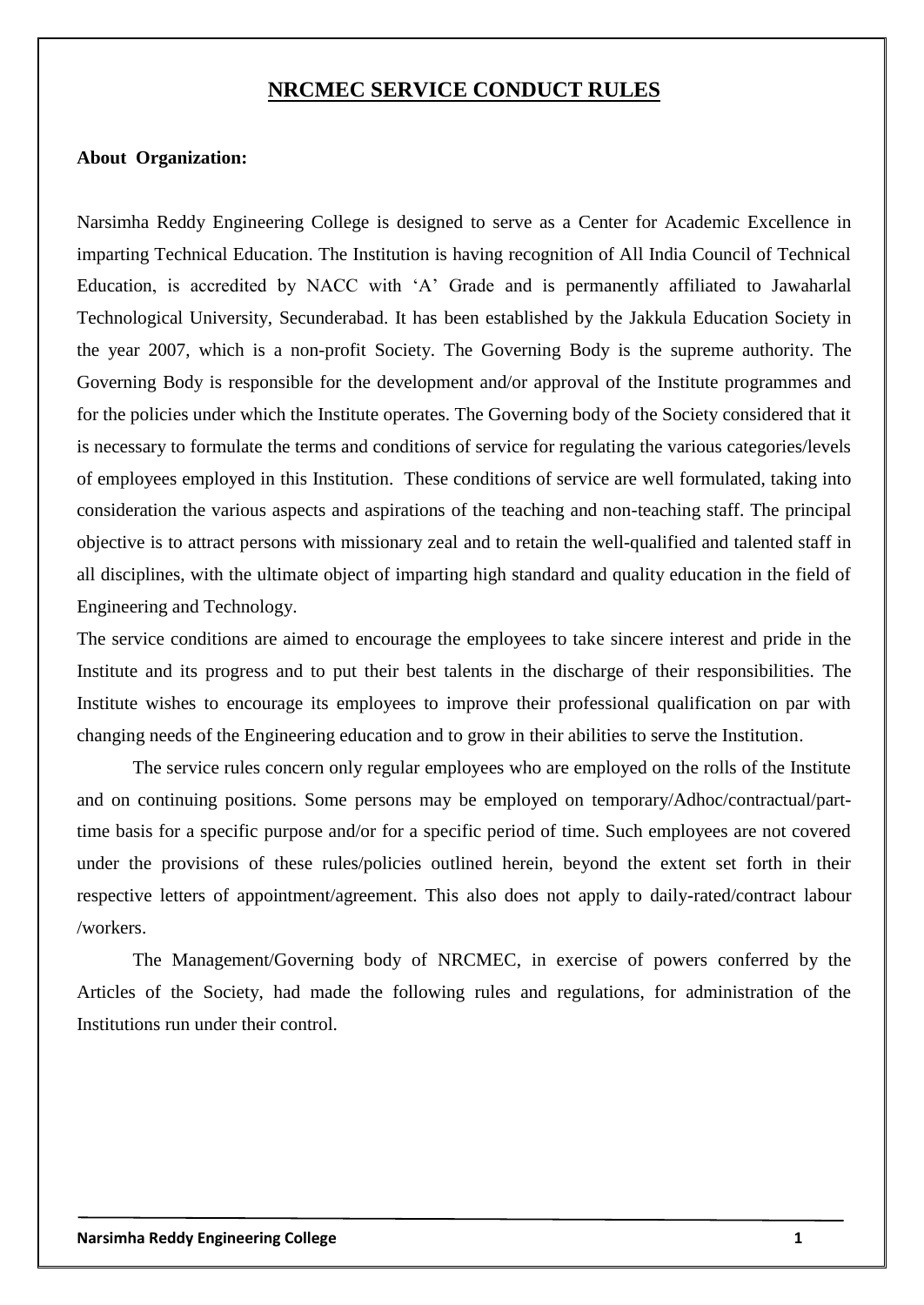## **NRCMEC SERVICE CONDUCT RULES**

#### **About Organization:**

Narsimha Reddy Engineering College is designed to serve as a Center for Academic Excellence in imparting Technical Education. The Institution is having recognition of All India Council of Technical Education, is accredited by NACC with "A" Grade and is permanently affiliated to Jawaharlal Technological University, Secunderabad. It has been established by the Jakkula Education Society in the year 2007, which is a non-profit Society. The Governing Body is the supreme authority. The Governing Body is responsible for the development and/or approval of the Institute programmes and for the policies under which the Institute operates. The Governing body of the Society considered that it is necessary to formulate the terms and conditions of service for regulating the various categories/levels of employees employed in this Institution. These conditions of service are well formulated, taking into consideration the various aspects and aspirations of the teaching and non-teaching staff. The principal objective is to attract persons with missionary zeal and to retain the well-qualified and talented staff in all disciplines, with the ultimate object of imparting high standard and quality education in the field of Engineering and Technology.

The service conditions are aimed to encourage the employees to take sincere interest and pride in the Institute and its progress and to put their best talents in the discharge of their responsibilities. The Institute wishes to encourage its employees to improve their professional qualification on par with changing needs of the Engineering education and to grow in their abilities to serve the Institution.

The service rules concern only regular employees who are employed on the rolls of the Institute and on continuing positions. Some persons may be employed on temporary/Adhoc/contractual/parttime basis for a specific purpose and/or for a specific period of time. Such employees are not covered under the provisions of these rules/policies outlined herein, beyond the extent set forth in their respective letters of appointment/agreement. This also does not apply to daily-rated/contract labour /workers.

The Management/Governing body of NRCMEC, in exercise of powers conferred by the Articles of the Society, had made the following rules and regulations, for administration of the Institutions run under their control.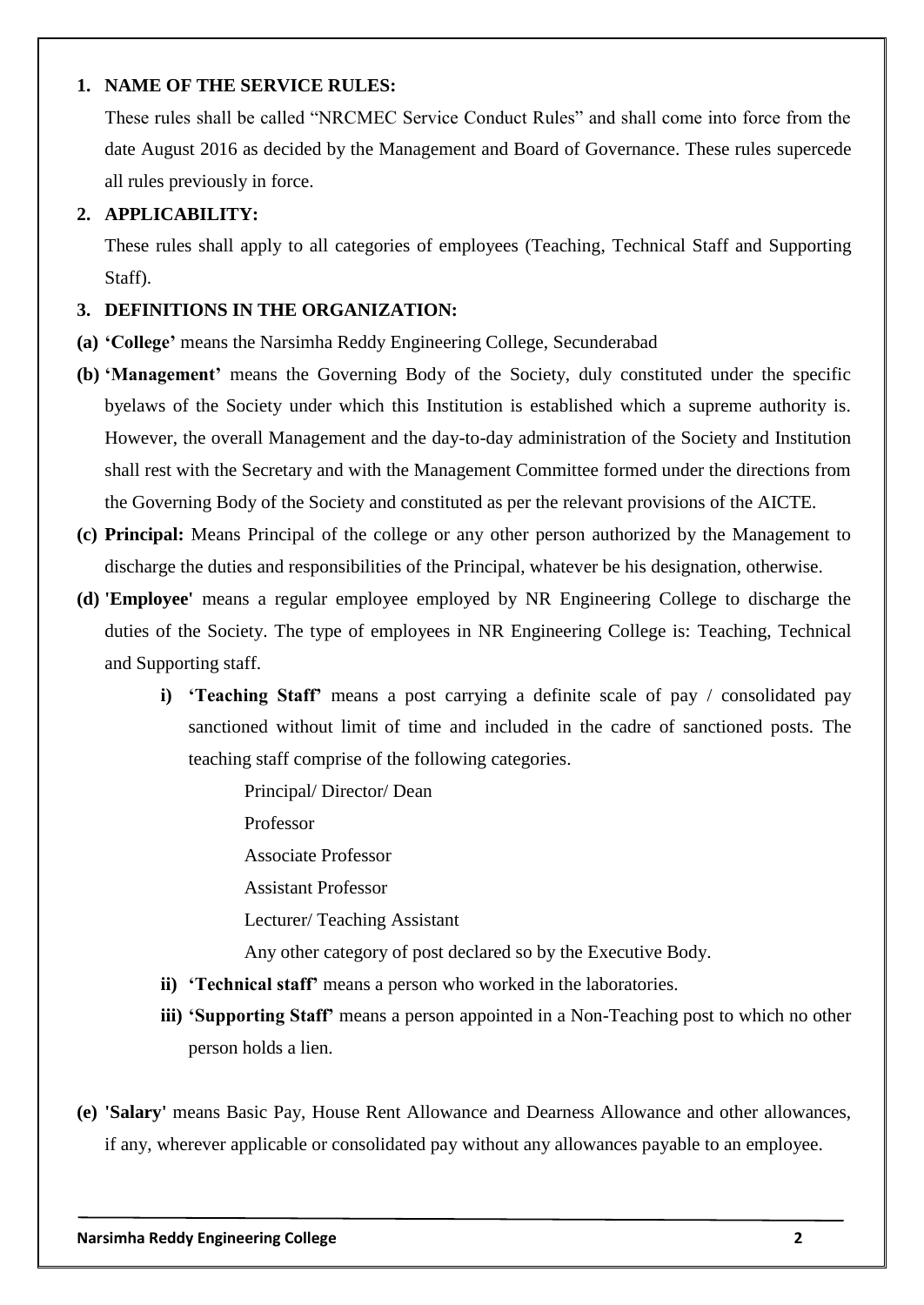#### **1. NAME OF THE SERVICE RULES:**

These rules shall be called "NRCMEC Service Conduct Rules" and shall come into force from the date August 2016 as decided by the Management and Board of Governance. These rules supercede all rules previously in force.

#### **2. APPLICABILITY:**

These rules shall apply to all categories of employees (Teaching, Technical Staff and Supporting Staff).

#### **3. DEFINITIONS IN THE ORGANIZATION:**

- **(a) 'College'** means the Narsimha Reddy Engineering College, Secunderabad
- **(b) 'Management'** means the Governing Body of the Society, duly constituted under the specific byelaws of the Society under which this Institution is established which a supreme authority is. However, the overall Management and the day-to-day administration of the Society and Institution shall rest with the Secretary and with the Management Committee formed under the directions from the Governing Body of the Society and constituted as per the relevant provisions of the AICTE.
- **(c) Principal:** Means Principal of the college or any other person authorized by the Management to discharge the duties and responsibilities of the Principal, whatever be his designation, otherwise.
- **(d) 'Employee'** means a regular employee employed by NR Engineering College to discharge the duties of the Society. The type of employees in NR Engineering College is: Teaching, Technical and Supporting staff.
	- **i) 'Teaching Staff'** means a post carrying a definite scale of pay / consolidated pay sanctioned without limit of time and included in the cadre of sanctioned posts. The teaching staff comprise of the following categories.

Principal/ Director/ Dean

Professor

Associate Professor

Assistant Professor

Lecturer/ Teaching Assistant

Any other category of post declared so by the Executive Body.

- **ii) 'Technical staff'** means a person who worked in the laboratories.
- **iii) 'Supporting Staff'** means a person appointed in a Non-Teaching post to which no other person holds a lien.
- **(e) 'Salary'** means Basic Pay, House Rent Allowance and Dearness Allowance and other allowances, if any, wherever applicable or consolidated pay without any allowances payable to an employee.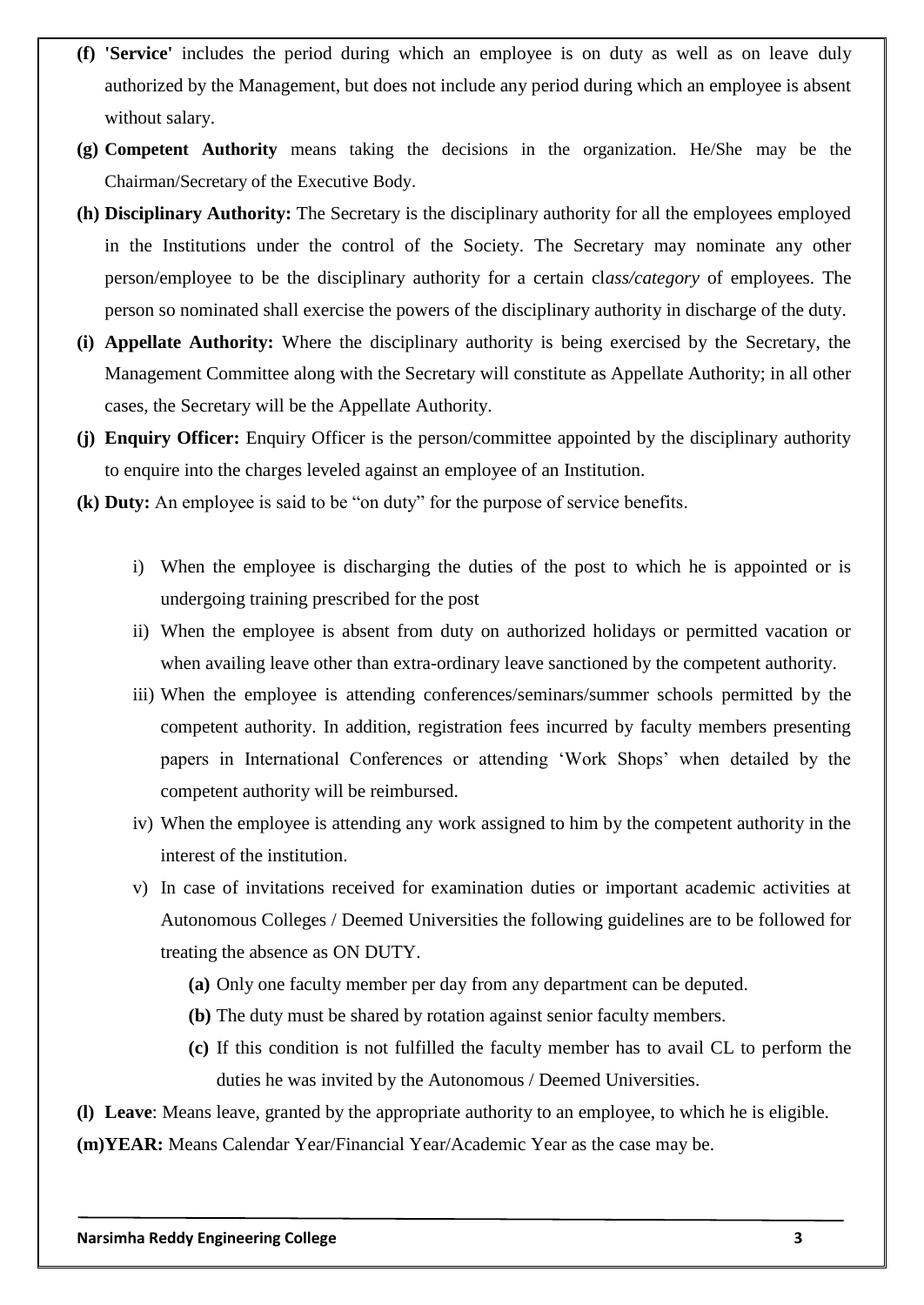- **(f) 'Service'** includes the period during which an employee is on duty as well as on leave duly authorized by the Management, but does not include any period during which an employee is absent without salary.
- **(g) Competent Authority** means taking the decisions in the organization. He/She may be the Chairman/Secretary of the Executive Body.
- **(h) Disciplinary Authority:** The Secretary is the disciplinary authority for all the employees employed in the Institutions under the control of the Society. The Secretary may nominate any other person/employee to be the disciplinary authority for a certain cl*ass/category* of employees. The person so nominated shall exercise the powers of the disciplinary authority in discharge of the duty.
- **(i) Appellate Authority:** Where the disciplinary authority is being exercised by the Secretary, the Management Committee along with the Secretary will constitute as Appellate Authority; in all other cases, the Secretary will be the Appellate Authority.
- **(j) Enquiry Officer:** Enquiry Officer is the person/committee appointed by the disciplinary authority to enquire into the charges leveled against an employee of an Institution.
- **(k) Duty:** An employee is said to be "on duty" for the purpose of service benefits.
	- i) When the employee is discharging the duties of the post to which he is appointed or is undergoing training prescribed for the post
	- ii) When the employee is absent from duty on authorized holidays or permitted vacation or when availing leave other than extra-ordinary leave sanctioned by the competent authority.
	- iii) When the employee is attending conferences/seminars/summer schools permitted by the competent authority. In addition, registration fees incurred by faculty members presenting papers in International Conferences or attending "Work Shops" when detailed by the competent authority will be reimbursed.
	- iv) When the employee is attending any work assigned to him by the competent authority in the interest of the institution.
	- v) In case of invitations received for examination duties or important academic activities at Autonomous Colleges / Deemed Universities the following guidelines are to be followed for treating the absence as ON DUTY.
		- **(a)** Only one faculty member per day from any department can be deputed.
		- **(b)** The duty must be shared by rotation against senior faculty members.
		- **(c)** If this condition is not fulfilled the faculty member has to avail CL to perform the duties he was invited by the Autonomous / Deemed Universities.

**(l) Leave**: Means leave, granted by the appropriate authority to an employee, to which he is eligible. **(m)YEAR:** Means Calendar Year/Financial Year/Academic Year as the case may be.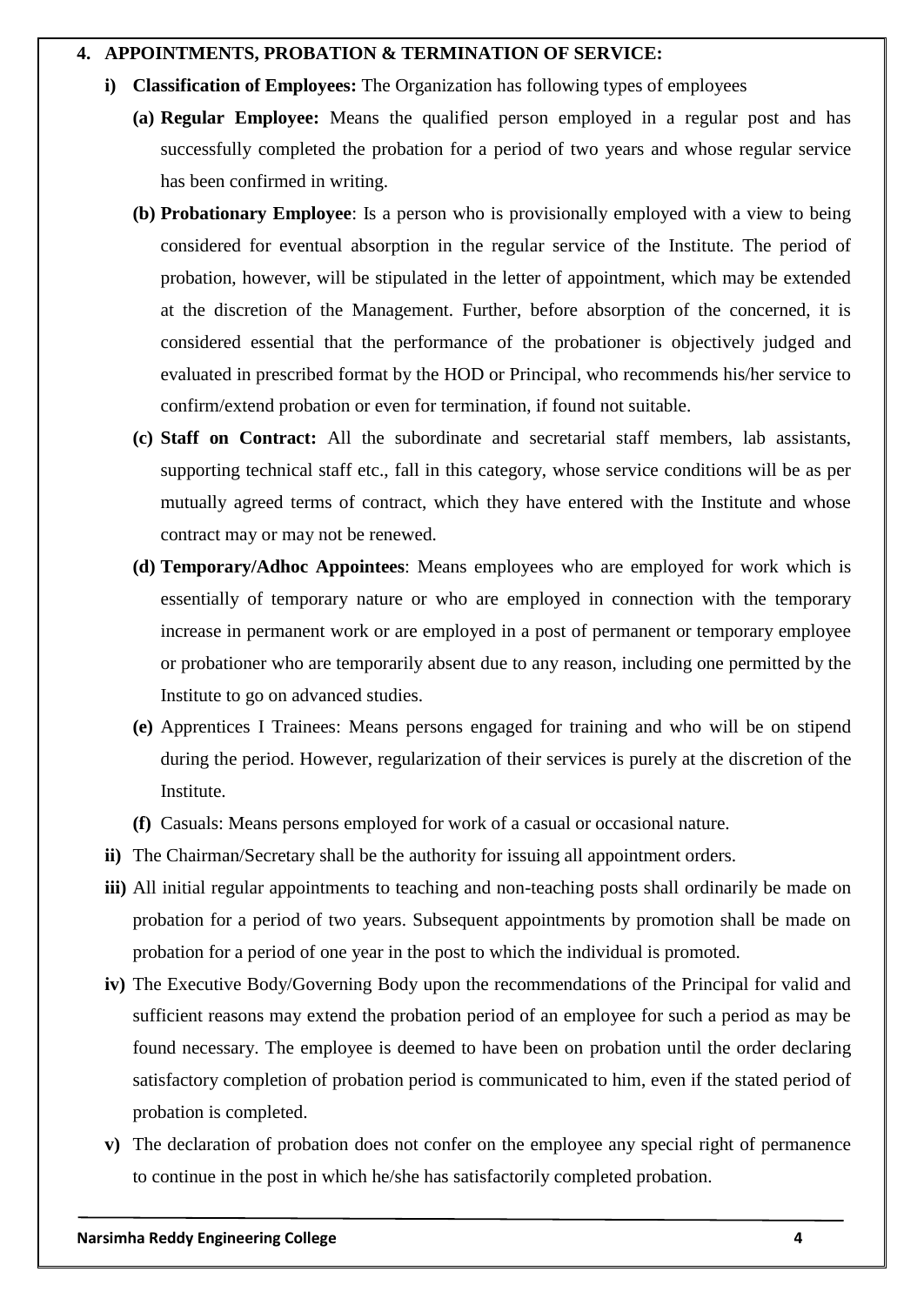#### **4. APPOINTMENTS, PROBATION & TERMINATION OF SERVICE:**

- **i) Classification of Employees:** The Organization has following types of employees
	- **(a) Regular Employee:** Means the qualified person employed in a regular post and has successfully completed the probation for a period of two years and whose regular service has been confirmed in writing.
	- **(b) Probationary Employee**: Is a person who is provisionally employed with a view to being considered for eventual absorption in the regular service of the Institute. The period of probation, however, will be stipulated in the letter of appointment, which may be extended at the discretion of the Management. Further, before absorption of the concerned, it is considered essential that the performance of the probationer is objectively judged and evaluated in prescribed format by the HOD or Principal, who recommends his/her service to confirm/extend probation or even for termination, if found not suitable.
	- **(c) Staff on Contract:** All the subordinate and secretarial staff members, lab assistants, supporting technical staff etc., fall in this category, whose service conditions will be as per mutually agreed terms of contract, which they have entered with the Institute and whose contract may or may not be renewed.
	- **(d) Temporary/Adhoc Appointees**: Means employees who are employed for work which is essentially of temporary nature or who are employed in connection with the temporary increase in permanent work or are employed in a post of permanent or temporary employee or probationer who are temporarily absent due to any reason, including one permitted by the Institute to go on advanced studies.
	- **(e)** Apprentices I Trainees: Means persons engaged for training and who will be on stipend during the period. However, regularization of their services is purely at the discretion of the Institute.
	- **(f)** Casuals: Means persons employed for work of a casual or occasional nature.
- **ii)** The Chairman/Secretary shall be the authority for issuing all appointment orders.
- **iii)** All initial regular appointments to teaching and non-teaching posts shall ordinarily be made on probation for a period of two years. Subsequent appointments by promotion shall be made on probation for a period of one year in the post to which the individual is promoted.
- **iv)** The Executive Body/Governing Body upon the recommendations of the Principal for valid and sufficient reasons may extend the probation period of an employee for such a period as may be found necessary. The employee is deemed to have been on probation until the order declaring satisfactory completion of probation period is communicated to him, even if the stated period of probation is completed.
- **v)** The declaration of probation does not confer on the employee any special right of permanence to continue in the post in which he/she has satisfactorily completed probation.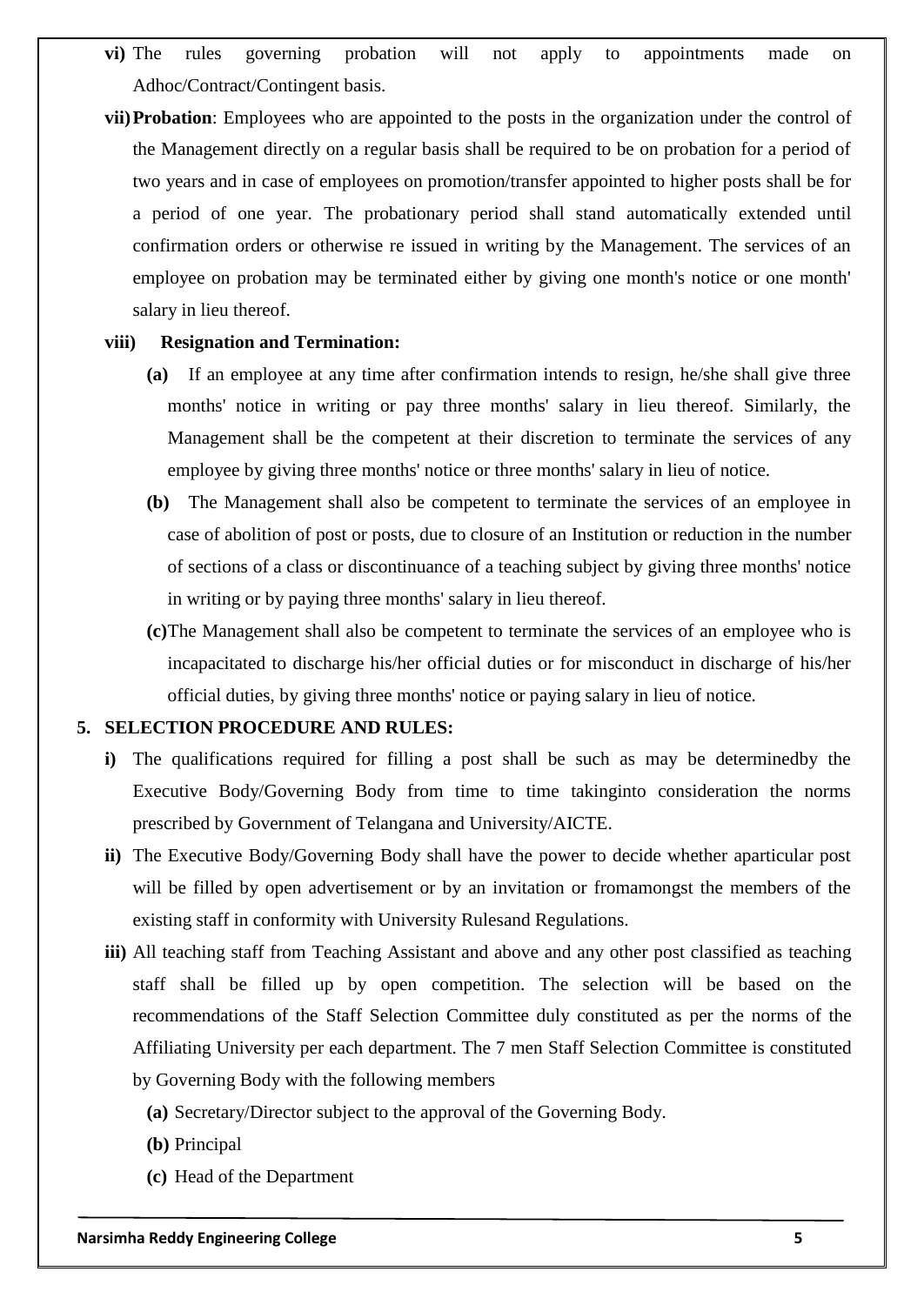- **vi)** The rules governing probation will not apply to appointments made on Adhoc/Contract/Contingent basis.
- **vii)Probation**: Employees who are appointed to the posts in the organization under the control of the Management directly on a regular basis shall be required to be on probation for a period of two years and in case of employees on promotion/transfer appointed to higher posts shall be for a period of one year. The probationary period shall stand automatically extended until confirmation orders or otherwise re issued in writing by the Management. The services of an employee on probation may be terminated either by giving one month's notice or one month' salary in lieu thereof.

#### **viii) Resignation and Termination:**

- **(a)** If an employee at any time after confirmation intends to resign, he/she shall give three months' notice in writing or pay three months' salary in lieu thereof. Similarly, the Management shall be the competent at their discretion to terminate the services of any employee by giving three months' notice or three months' salary in lieu of notice.
- **(b)** The Management shall also be competent to terminate the services of an employee in case of abolition of post or posts, due to closure of an Institution or reduction in the number of sections of a class or discontinuance of a teaching subject by giving three months' notice in writing or by paying three months' salary in lieu thereof.
- **(c)**The Management shall also be competent to terminate the services of an employee who is incapacitated to discharge his/her official duties or for misconduct in discharge of his/her official duties, by giving three months' notice or paying salary in lieu of notice.

#### **5. SELECTION PROCEDURE AND RULES:**

- **i)** The qualifications required for filling a post shall be such as may be determinedby the Executive Body/Governing Body from time to time takinginto consideration the norms prescribed by Government of Telangana and University/AICTE.
- **ii)** The Executive Body/Governing Body shall have the power to decide whether aparticular post will be filled by open advertisement or by an invitation or fromamongst the members of the existing staff in conformity with University Rulesand Regulations.
- **iii)** All teaching staff from Teaching Assistant and above and any other post classified as teaching staff shall be filled up by open competition. The selection will be based on the recommendations of the Staff Selection Committee duly constituted as per the norms of the Affiliating University per each department. The 7 men Staff Selection Committee is constituted by Governing Body with the following members
	- **(a)** Secretary/Director subject to the approval of the Governing Body.
	- **(b)** Principal
	- **(c)** Head of the Department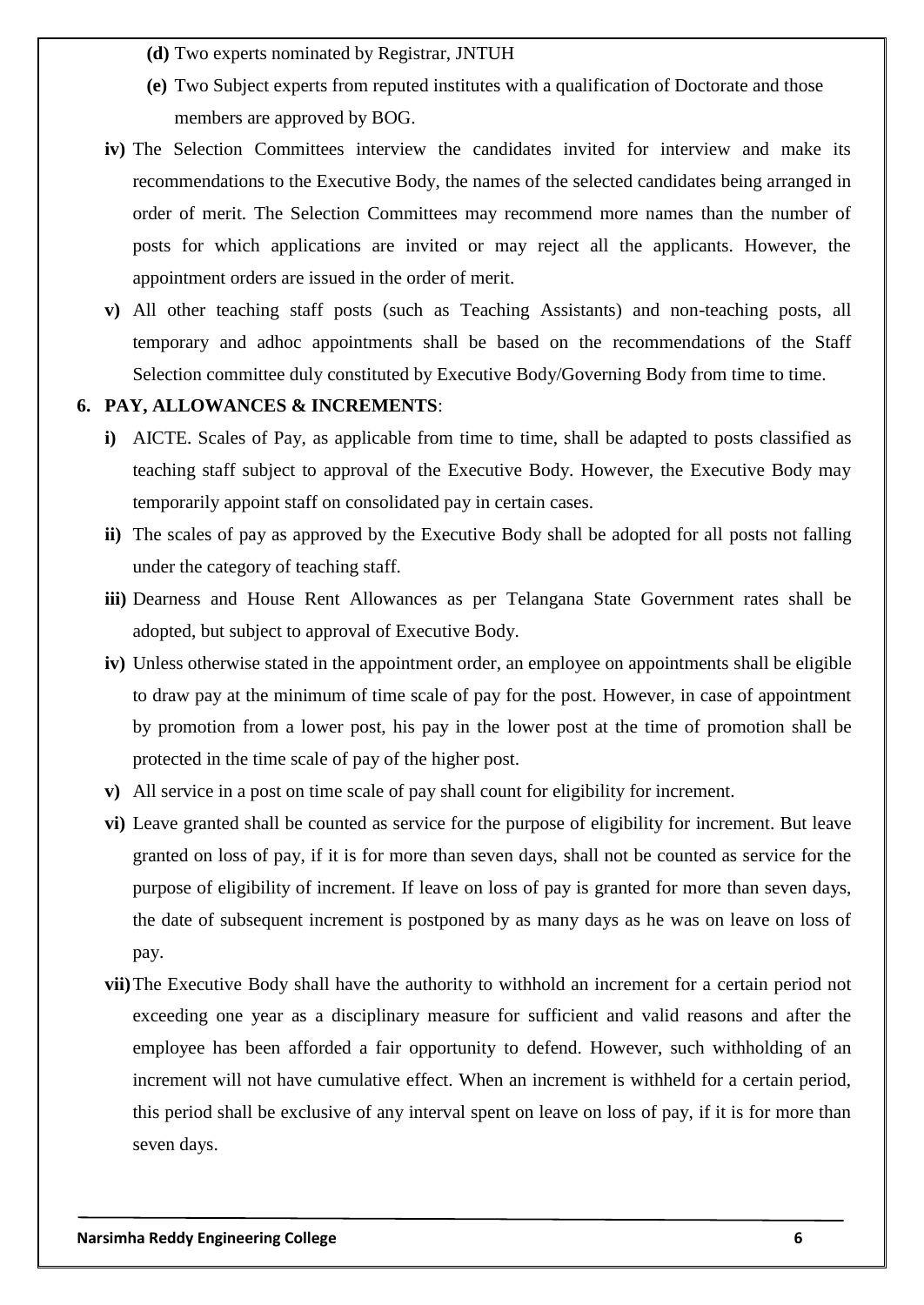- **(d)** Two experts nominated by Registrar, JNTUH
- **(e)** Two Subject experts from reputed institutes with a qualification of Doctorate and those members are approved by BOG.
- **iv**) The Selection Committees interview the candidates invited for interview and make its recommendations to the Executive Body, the names of the selected candidates being arranged in order of merit. The Selection Committees may recommend more names than the number of posts for which applications are invited or may reject all the applicants. However, the appointment orders are issued in the order of merit.
- **v)** All other teaching staff posts (such as Teaching Assistants) and non-teaching posts, all temporary and adhoc appointments shall be based on the recommendations of the Staff Selection committee duly constituted by Executive Body/Governing Body from time to time.

#### **6. PAY, ALLOWANCES & INCREMENTS**:

- **i)** AICTE. Scales of Pay, as applicable from time to time, shall be adapted to posts classified as teaching staff subject to approval of the Executive Body. However, the Executive Body may temporarily appoint staff on consolidated pay in certain cases.
- **ii)** The scales of pay as approved by the Executive Body shall be adopted for all posts not falling under the category of teaching staff.
- **iii)** Dearness and House Rent Allowances as per Telangana State Government rates shall be adopted, but subject to approval of Executive Body.
- **iv)** Unless otherwise stated in the appointment order, an employee on appointments shall be eligible to draw pay at the minimum of time scale of pay for the post. However, in case of appointment by promotion from a lower post, his pay in the lower post at the time of promotion shall be protected in the time scale of pay of the higher post.
- **v)** All service in a post on time scale of pay shall count for eligibility for increment.
- **vi)** Leave granted shall be counted as service for the purpose of eligibility for increment. But leave granted on loss of pay, if it is for more than seven days, shall not be counted as service for the purpose of eligibility of increment. If leave on loss of pay is granted for more than seven days, the date of subsequent increment is postponed by as many days as he was on leave on loss of pay.
- **vii)**The Executive Body shall have the authority to withhold an increment for a certain period not exceeding one year as a disciplinary measure for sufficient and valid reasons and after the employee has been afforded a fair opportunity to defend. However, such withholding of an increment will not have cumulative effect. When an increment is withheld for a certain period, this period shall be exclusive of any interval spent on leave on loss of pay, if it is for more than seven days.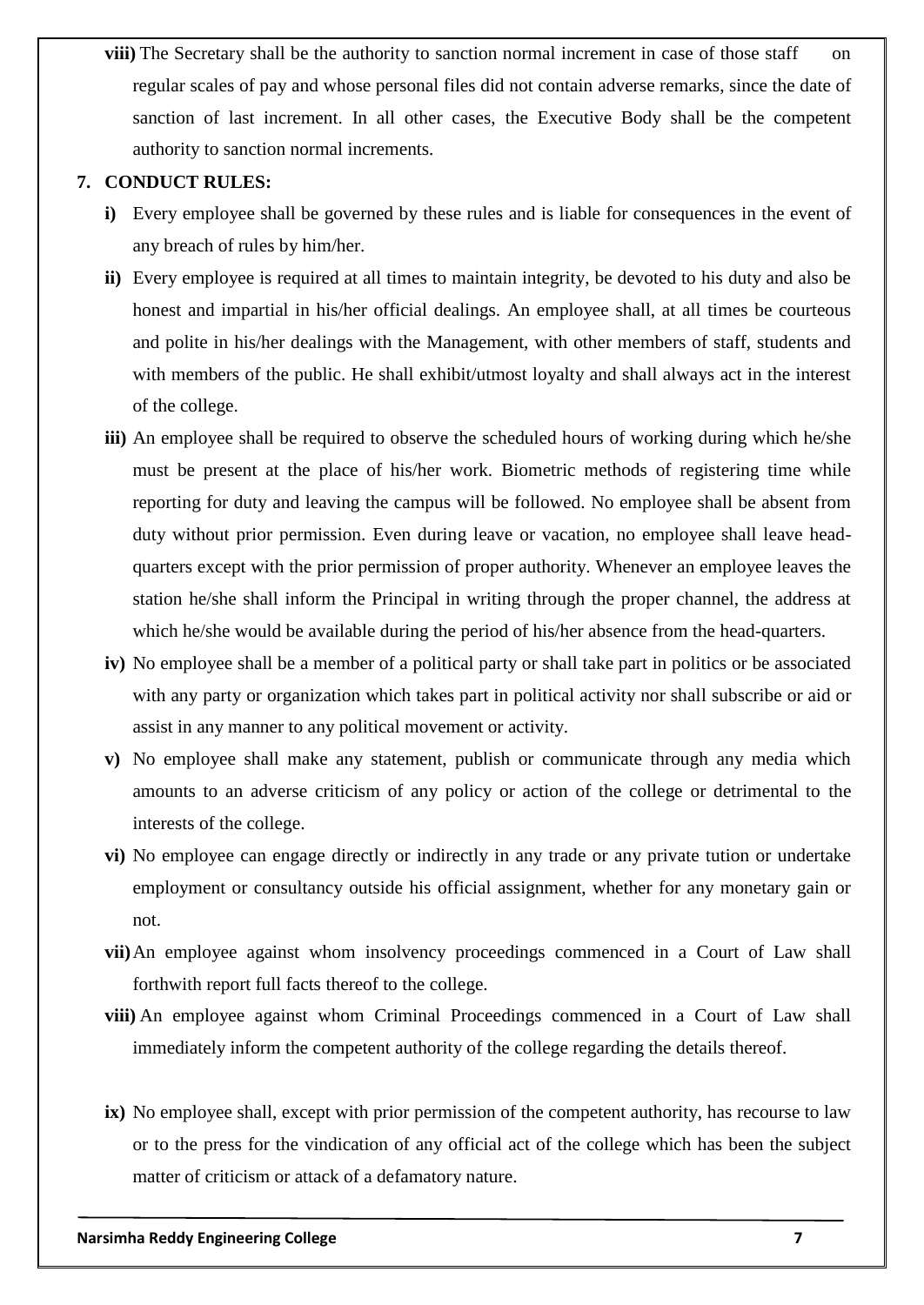**viii**) The Secretary shall be the authority to sanction normal increment in case of those staff on regular scales of pay and whose personal files did not contain adverse remarks, since the date of sanction of last increment. In all other cases, the Executive Body shall be the competent authority to sanction normal increments.

## **7. CONDUCT RULES:**

- **i)** Every employee shall be governed by these rules and is liable for consequences in the event of any breach of rules by him/her.
- **ii)** Every employee is required at all times to maintain integrity, be devoted to his duty and also be honest and impartial in his/her official dealings. An employee shall, at all times be courteous and polite in his/her dealings with the Management, with other members of staff, students and with members of the public. He shall exhibit/utmost loyalty and shall always act in the interest of the college.
- **iii)** An employee shall be required to observe the scheduled hours of working during which he/she must be present at the place of his/her work. Biometric methods of registering time while reporting for duty and leaving the campus will be followed. No employee shall be absent from duty without prior permission. Even during leave or vacation, no employee shall leave headquarters except with the prior permission of proper authority. Whenever an employee leaves the station he/she shall inform the Principal in writing through the proper channel, the address at which he/she would be available during the period of his/her absence from the head-quarters.
- **iv)** No employee shall be a member of a political party or shall take part in politics or be associated with any party or organization which takes part in political activity nor shall subscribe or aid or assist in any manner to any political movement or activity.
- **v)** No employee shall make any statement, publish or communicate through any media which amounts to an adverse criticism of any policy or action of the college or detrimental to the interests of the college.
- **vi)** No employee can engage directly or indirectly in any trade or any private tution or undertake employment or consultancy outside his official assignment, whether for any monetary gain or not.
- **vii)**An employee against whom insolvency proceedings commenced in a Court of Law shall forthwith report full facts thereof to the college.
- **viii)** An employee against whom Criminal Proceedings commenced in a Court of Law shall immediately inform the competent authority of the college regarding the details thereof.
- **ix)** No employee shall, except with prior permission of the competent authority, has recourse to law or to the press for the vindication of any official act of the college which has been the subject matter of criticism or attack of a defamatory nature.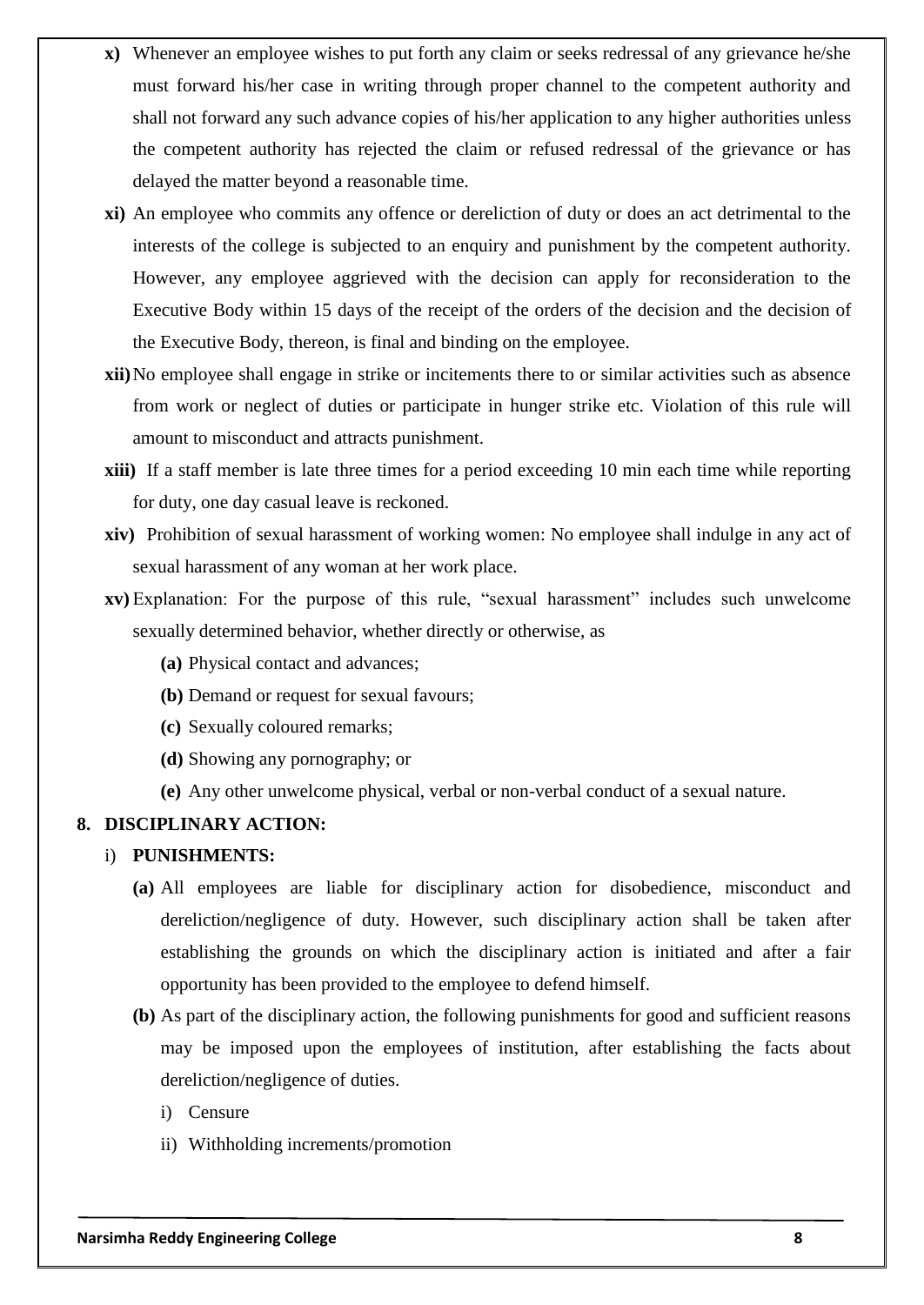- **x)** Whenever an employee wishes to put forth any claim or seeks redressal of any grievance he/she must forward his/her case in writing through proper channel to the competent authority and shall not forward any such advance copies of his/her application to any higher authorities unless the competent authority has rejected the claim or refused redressal of the grievance or has delayed the matter beyond a reasonable time.
- **xi)** An employee who commits any offence or dereliction of duty or does an act detrimental to the interests of the college is subjected to an enquiry and punishment by the competent authority. However, any employee aggrieved with the decision can apply for reconsideration to the Executive Body within 15 days of the receipt of the orders of the decision and the decision of the Executive Body, thereon, is final and binding on the employee.
- **xii)**No employee shall engage in strike or incitements there to or similar activities such as absence from work or neglect of duties or participate in hunger strike etc. Violation of this rule will amount to misconduct and attracts punishment.
- **xiii)** If a staff member is late three times for a period exceeding 10 min each time while reporting for duty, one day casual leave is reckoned.
- **xiv)** Prohibition of sexual harassment of working women: No employee shall indulge in any act of sexual harassment of any woman at her work place.
- **xv)** Explanation: For the purpose of this rule, "sexual harassment" includes such unwelcome sexually determined behavior, whether directly or otherwise, as
	- **(a)** Physical contact and advances;
	- **(b)** Demand or request for sexual favours;
	- **(c)** Sexually coloured remarks;
	- **(d)** Showing any pornography; or
	- **(e)** Any other unwelcome physical, verbal or non-verbal conduct of a sexual nature.

### **8. DISCIPLINARY ACTION:**

#### i) **PUNISHMENTS:**

- **(a)** All employees are liable for disciplinary action for disobedience, misconduct and dereliction/negligence of duty. However, such disciplinary action shall be taken after establishing the grounds on which the disciplinary action is initiated and after a fair opportunity has been provided to the employee to defend himself.
- **(b)** As part of the disciplinary action, the following punishments for good and sufficient reasons may be imposed upon the employees of institution, after establishing the facts about dereliction/negligence of duties.
	- i) Censure
	- ii) Withholding increments/promotion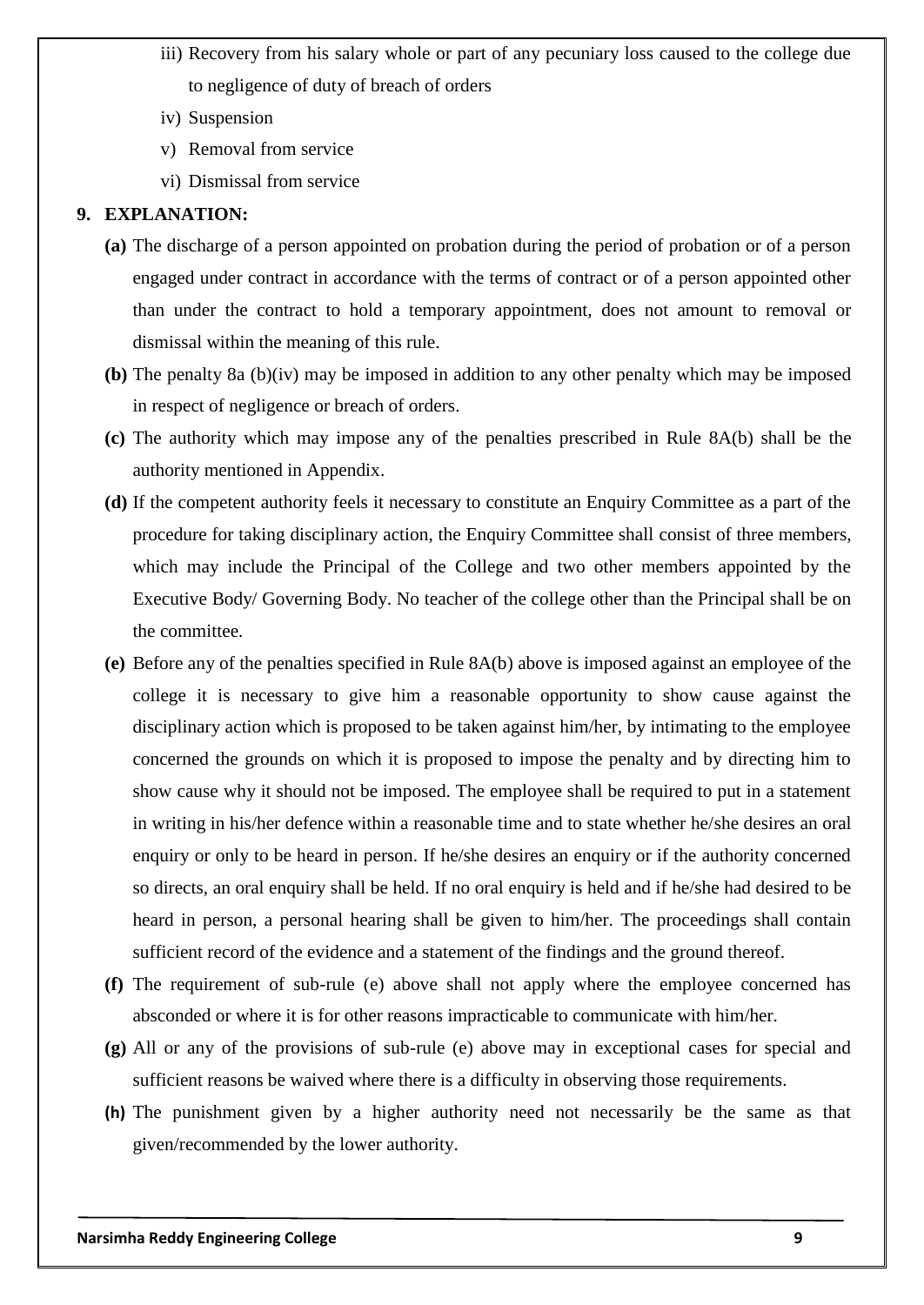- iii) Recovery from his salary whole or part of any pecuniary loss caused to the college due to negligence of duty of breach of orders
- iv) Suspension
- v) Removal from service
- vi) Dismissal from service

#### **9. EXPLANATION:**

- **(a)** The discharge of a person appointed on probation during the period of probation or of a person engaged under contract in accordance with the terms of contract or of a person appointed other than under the contract to hold a temporary appointment, does not amount to removal or dismissal within the meaning of this rule.
- **(b)** The penalty 8a (b)(iv) may be imposed in addition to any other penalty which may be imposed in respect of negligence or breach of orders.
- **(c)** The authority which may impose any of the penalties prescribed in Rule 8A(b) shall be the authority mentioned in Appendix.
- **(d)** If the competent authority feels it necessary to constitute an Enquiry Committee as a part of the procedure for taking disciplinary action, the Enquiry Committee shall consist of three members, which may include the Principal of the College and two other members appointed by the Executive Body/ Governing Body. No teacher of the college other than the Principal shall be on the committee.
- **(e)** Before any of the penalties specified in Rule 8A(b) above is imposed against an employee of the college it is necessary to give him a reasonable opportunity to show cause against the disciplinary action which is proposed to be taken against him/her, by intimating to the employee concerned the grounds on which it is proposed to impose the penalty and by directing him to show cause why it should not be imposed. The employee shall be required to put in a statement in writing in his/her defence within a reasonable time and to state whether he/she desires an oral enquiry or only to be heard in person. If he/she desires an enquiry or if the authority concerned so directs, an oral enquiry shall be held. If no oral enquiry is held and if he/she had desired to be heard in person, a personal hearing shall be given to him/her. The proceedings shall contain sufficient record of the evidence and a statement of the findings and the ground thereof.
- **(f)** The requirement of sub-rule (e) above shall not apply where the employee concerned has absconded or where it is for other reasons impracticable to communicate with him/her.
- **(g)** All or any of the provisions of sub-rule (e) above may in exceptional cases for special and sufficient reasons be waived where there is a difficulty in observing those requirements.
- **(h)** The punishment given by a higher authority need not necessarily be the same as that given/recommended by the lower authority.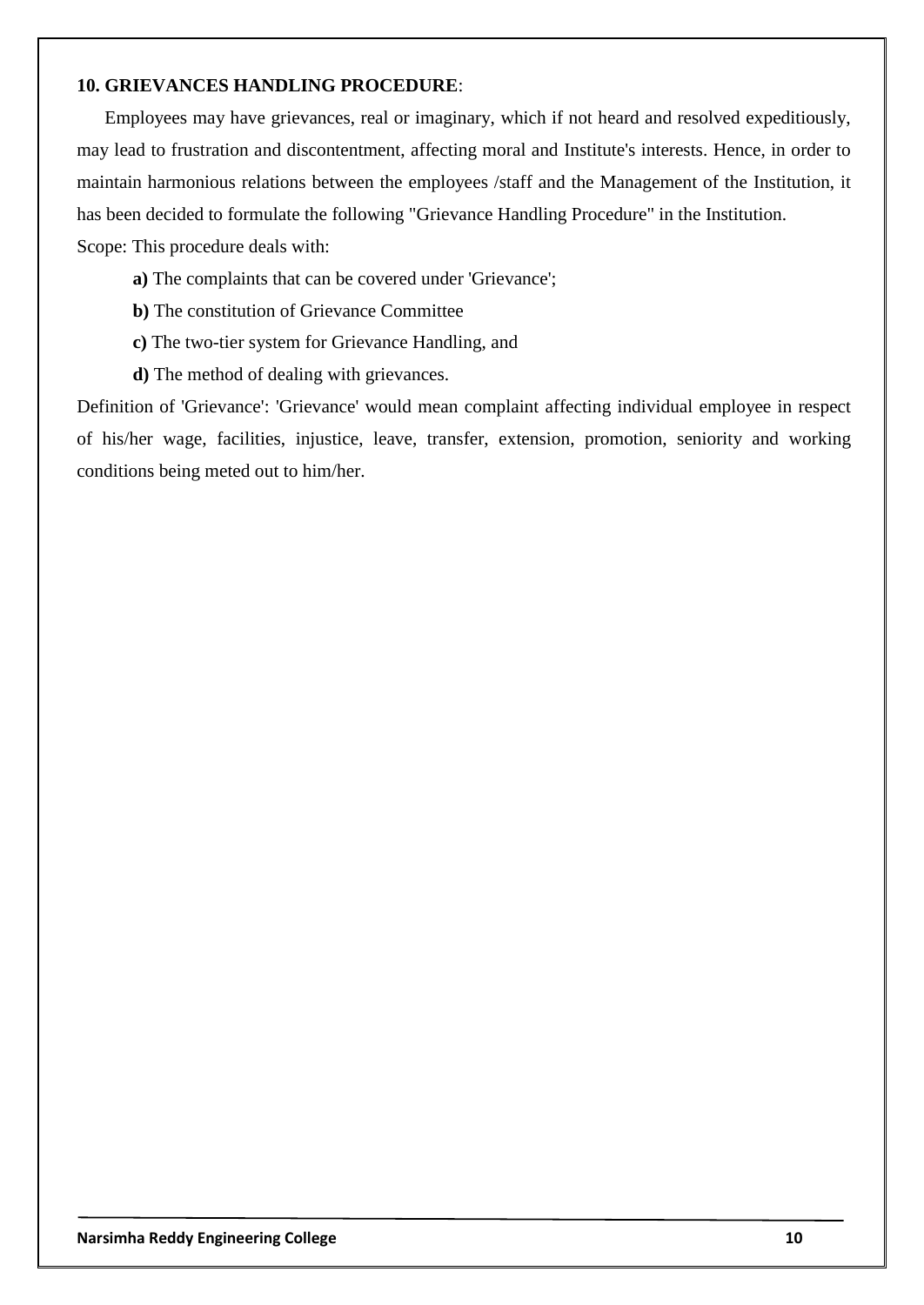#### **10. GRIEVANCES HANDLING PROCEDURE**:

Employees may have grievances, real or imaginary, which if not heard and resolved expeditiously, may lead to frustration and discontentment, affecting moral and Institute's interests. Hence, in order to maintain harmonious relations between the employees /staff and the Management of the Institution, it has been decided to formulate the following "Grievance Handling Procedure" in the Institution. Scope: This procedure deals with:

- **a)** The complaints that can be covered under 'Grievance';
- **b)** The constitution of Grievance Committee
- **c)** The two-tier system for Grievance Handling, and
- **d)** The method of dealing with grievances.

Definition of 'Grievance': 'Grievance' would mean complaint affecting individual employee in respect of his/her wage, facilities, injustice, leave, transfer, extension, promotion, seniority and working conditions being meted out to him/her.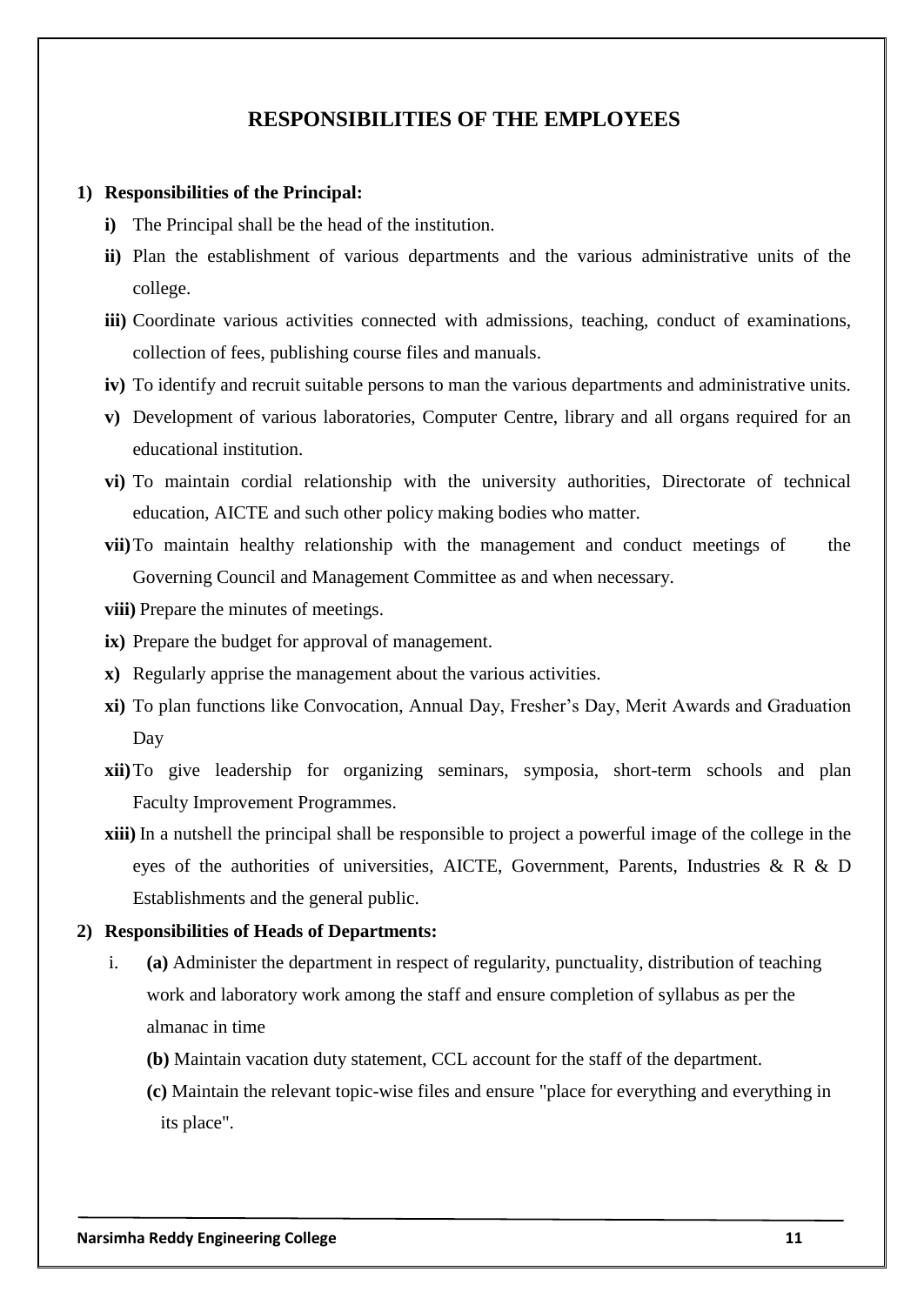## **RESPONSIBILITIES OF THE EMPLOYEES**

#### **1) Responsibilities of the Principal:**

- **i)** The Principal shall be the head of the institution.
- **ii)** Plan the establishment of various departments and the various administrative units of the college.
- **iii)** Coordinate various activities connected with admissions, teaching, conduct of examinations, collection of fees, publishing course files and manuals.
- **iv)** To identify and recruit suitable persons to man the various departments and administrative units.
- **v)** Development of various laboratories, Computer Centre, library and all organs required for an educational institution.
- **vi)** To maintain cordial relationship with the university authorities, Directorate of technical education, AICTE and such other policy making bodies who matter.
- **vii)**To maintain healthy relationship with the management and conduct meetings of the Governing Council and Management Committee as and when necessary.
- **viii)** Prepare the minutes of meetings.
- **ix)** Prepare the budget for approval of management.
- **x)** Regularly apprise the management about the various activities.
- **xi)** To plan functions like Convocation, Annual Day, Fresher"s Day, Merit Awards and Graduation Day
- **xii)**To give leadership for organizing seminars, symposia, short-term schools and plan Faculty Improvement Programmes.
- **xiii)** In a nutshell the principal shall be responsible to project a powerful image of the college in the eyes of the authorities of universities, AICTE, Government, Parents, Industries & R & D Establishments and the general public.

#### **2) Responsibilities of Heads of Departments:**

- i. **(a)** Administer the department in respect of regularity, punctuality, distribution of teaching work and laboratory work among the staff and ensure completion of syllabus as per the almanac in time
	- **(b)** Maintain vacation duty statement, CCL account for the staff of the department.
	- **(c)** Maintain the relevant topic-wise files and ensure "place for everything and everything in its place".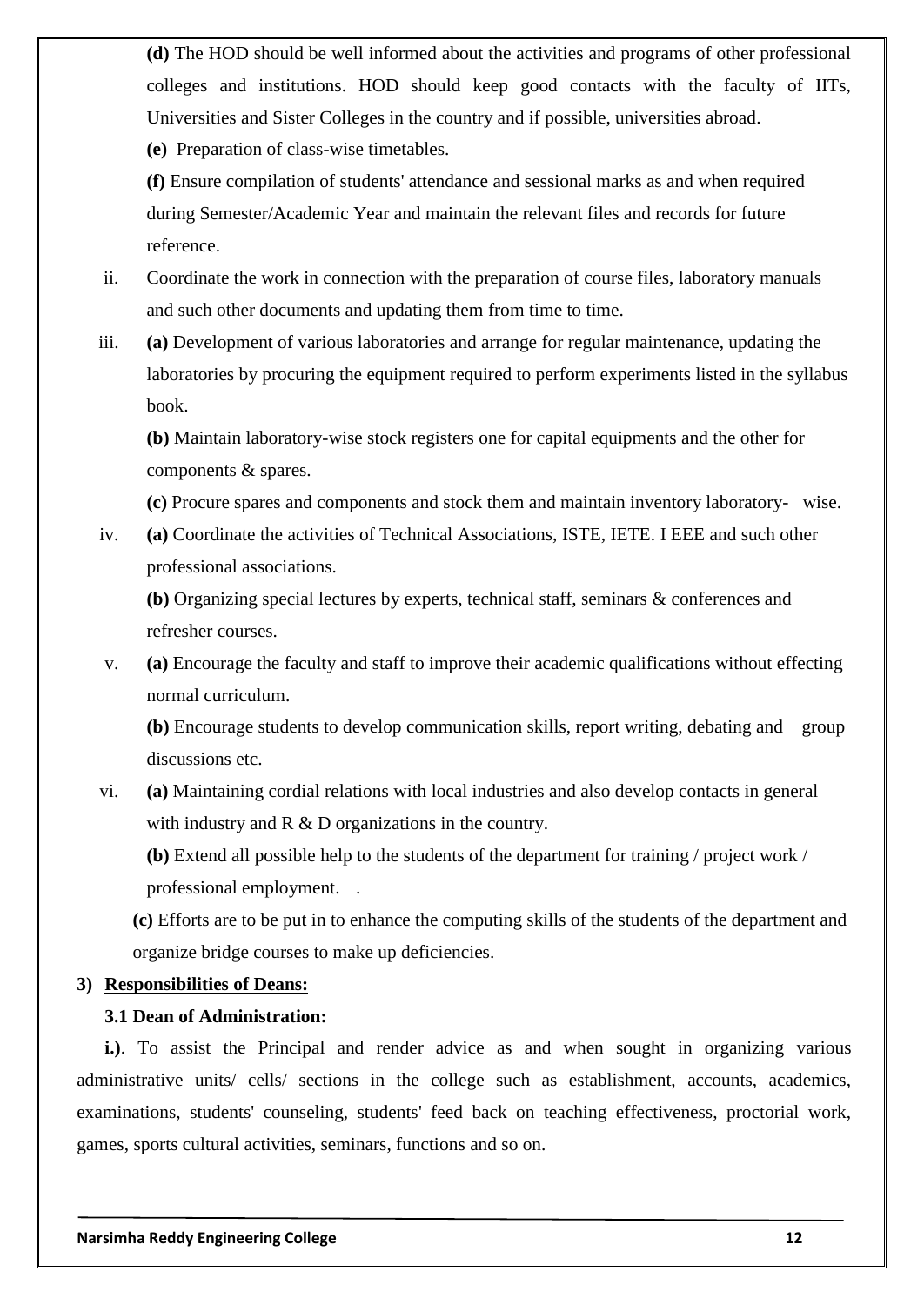**(d)** The HOD should be well informed about the activities and programs of other professional colleges and institutions. HOD should keep good contacts with the faculty of IITs, Universities and Sister Colleges in the country and if possible, universities abroad.

**(e)** Preparation of class-wise timetables.

**(f)** Ensure compilation of students' attendance and sessional marks as and when required during Semester/Academic Year and maintain the relevant files and records for future reference.

- ii. Coordinate the work in connection with the preparation of course files, laboratory manuals and such other documents and updating them from time to time.
- iii. **(a)** Development of various laboratories and arrange for regular maintenance, updating the laboratories by procuring the equipment required to perform experiments listed in the syllabus book.

**(b)** Maintain laboratory-wise stock registers one for capital equipments and the other for components & spares.

**(c)** Procure spares and components and stock them and maintain inventory laboratory- wise.

iv. **(a)** Coordinate the activities of Technical Associations, ISTE, IETE. I EEE and such other professional associations.

**(b)** Organizing special lectures by experts, technical staff, seminars & conferences and refresher courses.

v. **(a)** Encourage the faculty and staff to improve their academic qualifications without effecting normal curriculum.

**(b)** Encourage students to develop communication skills, report writing, debating and group discussions etc.

vi. **(a)** Maintaining cordial relations with local industries and also develop contacts in general with industry and R & D organizations in the country.

**(b)** Extend all possible help to the students of the department for training / project work / professional employment. .

**(c)** Efforts are to be put in to enhance the computing skills of the students of the department and organize bridge courses to make up deficiencies.

## **3) Responsibilities of Deans:**

## **3.1 Dean of Administration:**

**i.)**. To assist the Principal and render advice as and when sought in organizing various administrative units/ cells/ sections in the college such as establishment, accounts, academics, examinations, students' counseling, students' feed back on teaching effectiveness, proctorial work, games, sports cultural activities, seminars, functions and so on.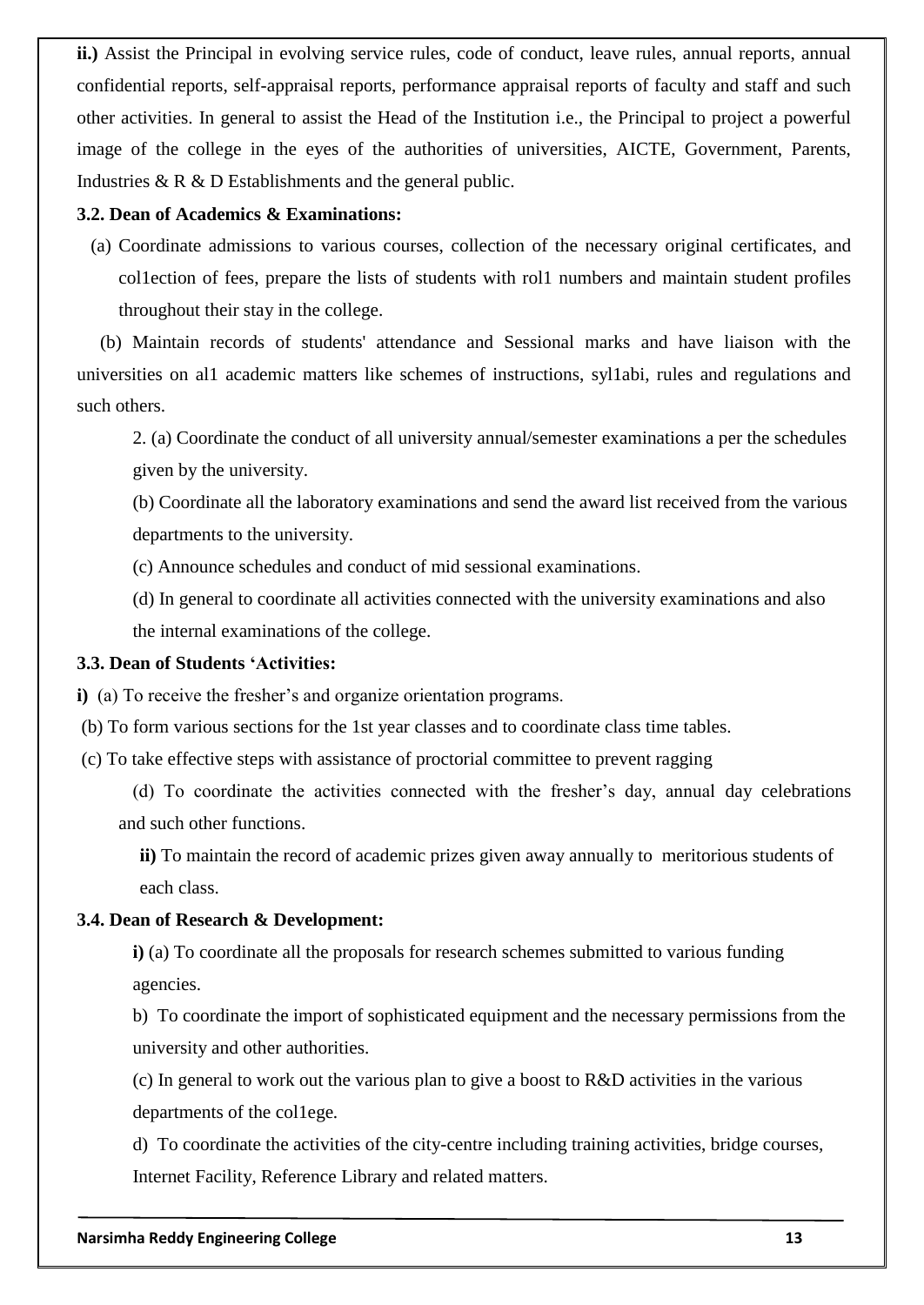**ii.)** Assist the Principal in evolving service rules, code of conduct, leave rules, annual reports, annual confidential reports, self-appraisal reports, performance appraisal reports of faculty and staff and such other activities. In general to assist the Head of the Institution i.e., the Principal to project a powerful image of the college in the eyes of the authorities of universities, AICTE, Government, Parents, Industries & R & D Establishments and the general public.

#### **3.2. Dean of Academics & Examinations:**

(a) Coordinate admissions to various courses, collection of the necessary original certificates, and col1ection of fees, prepare the lists of students with rol1 numbers and maintain student profiles throughout their stay in the college.

 (b) Maintain records of students' attendance and Sessional marks and have liaison with the universities on al1 academic matters like schemes of instructions, syl1abi, rules and regulations and such others.

2. (a) Coordinate the conduct of all university annual/semester examinations a per the schedules given by the university.

(b) Coordinate all the laboratory examinations and send the award list received from the various departments to the university.

(c) Announce schedules and conduct of mid sessional examinations.

(d) In general to coordinate all activities connected with the university examinations and also the internal examinations of the college.

### **3.3. Dean of Students 'Activities:**

**i**) (a) To receive the fresher's and organize orientation programs.

(b) To form various sections for the 1st year classes and to coordinate class time tables.

(c) To take effective steps with assistance of proctorial committee to prevent ragging

 (d) To coordinate the activities connected with the fresher"s day, annual day celebrations and such other functions.

**ii)** To maintain the record of academic prizes given away annually to meritorious students of each class.

### **3.4. Dean of Research & Development:**

**i)** (a) To coordinate all the proposals for research schemes submitted to various funding agencies.

b) To coordinate the import of sophisticated equipment and the necessary permissions from the university and other authorities.

(c) In general to work out the various plan to give a boost to R&D activities in the various departments of the col1ege*.*

d) To coordinate the activities of the city-centre including training activities, bridge courses*,*  Internet Facility, Reference Library and related matters.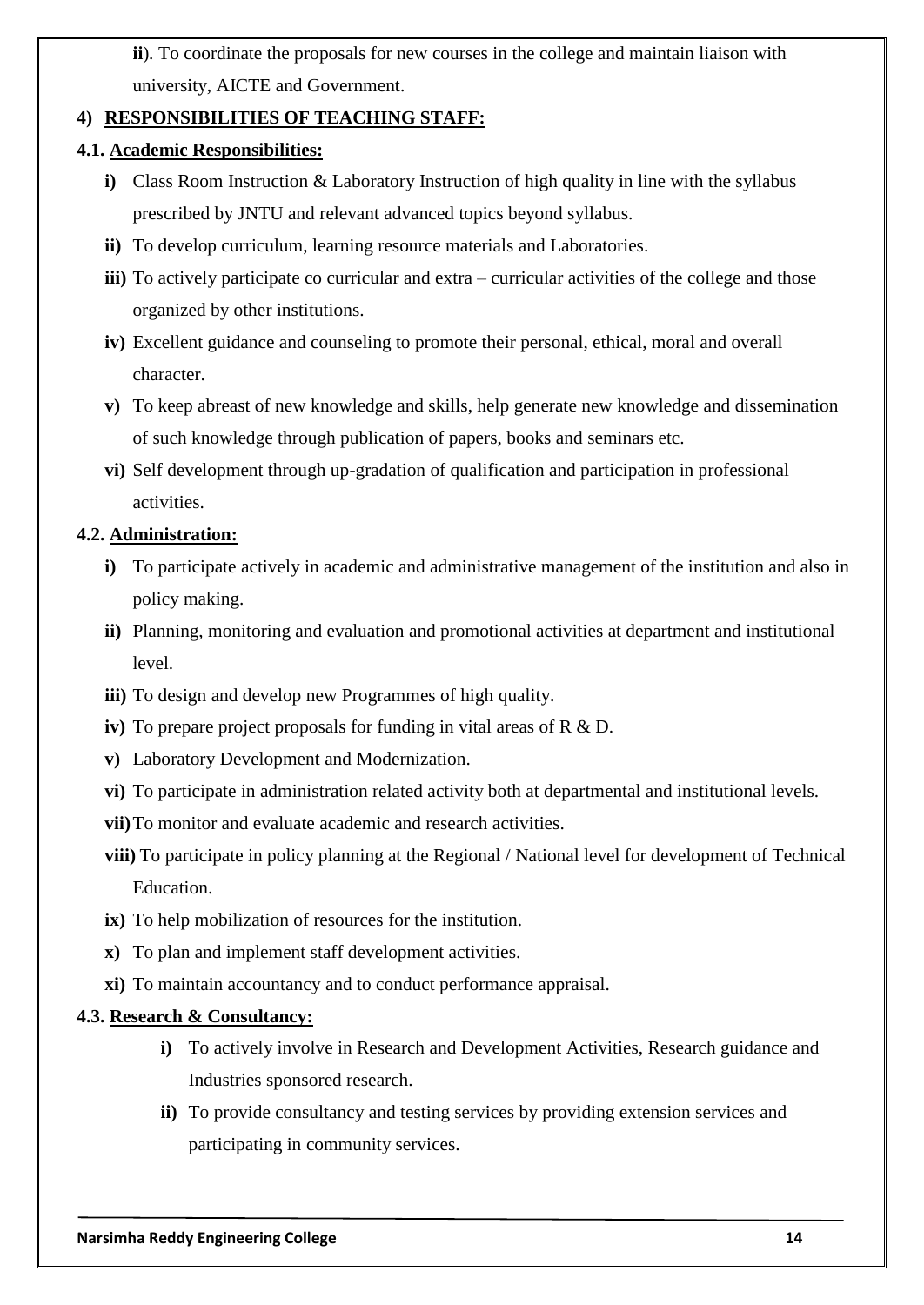**ii**)*.* To coordinate the proposals for new courses in the college and maintain liaison with university, AICTE and Government.

## **4) RESPONSIBILITIES OF TEACHING STAFF:**

## **4.1. Academic Responsibilities:**

- **i)** Class Room Instruction & Laboratory Instruction of high quality in line with the syllabus prescribed by JNTU and relevant advanced topics beyond syllabus.
- **ii)** To develop curriculum, learning resource materials and Laboratories.
- **iii)** To actively participate co curricular and extra curricular activities of the college and those organized by other institutions.
- **iv)** Excellent guidance and counseling to promote their personal, ethical, moral and overall character.
- **v)** To keep abreast of new knowledge and skills, help generate new knowledge and dissemination of such knowledge through publication of papers, books and seminars etc.
- **vi)** Self development through up-gradation of qualification and participation in professional activities.

## **4.2. Administration:**

- **i)** To participate actively in academic and administrative management of the institution and also in policy making.
- **ii)** Planning, monitoring and evaluation and promotional activities at department and institutional level.
- **iii)** To design and develop new Programmes of high quality.
- **iv)** To prepare project proposals for funding in vital areas of R & D.
- **v)** Laboratory Development and Modernization.
- **vi)** To participate in administration related activity both at departmental and institutional levels.
- **vii)**To monitor and evaluate academic and research activities.
- **viii)** To participate in policy planning at the Regional / National level for development of Technical Education.
- **ix)** To help mobilization of resources for the institution.
- **x)** To plan and implement staff development activities.
- **xi)** To maintain accountancy and to conduct performance appraisal.

## **4.3. Research & Consultancy:**

- **i)** To actively involve in Research and Development Activities, Research guidance and Industries sponsored research.
- **ii)** To provide consultancy and testing services by providing extension services and participating in community services.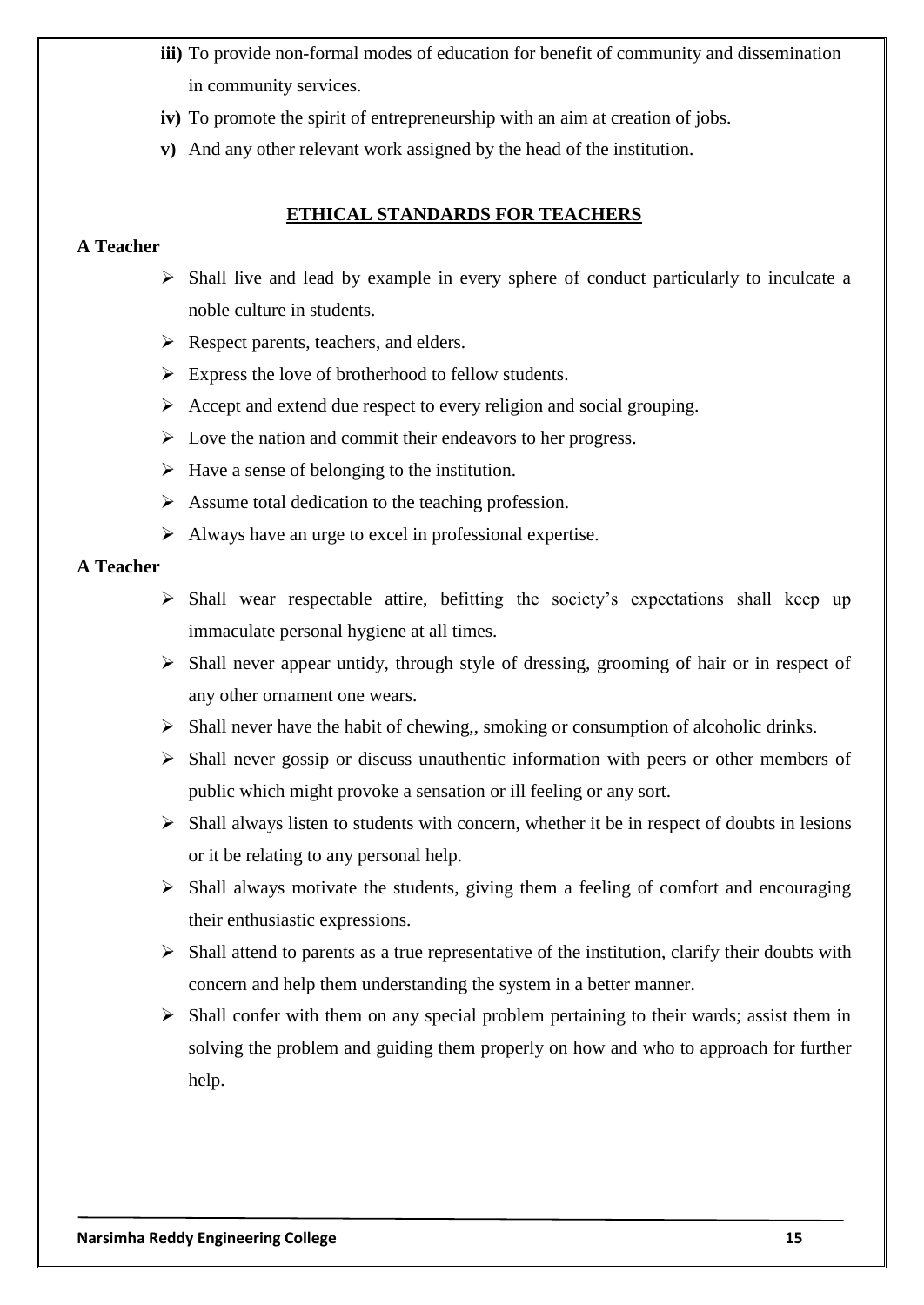- **iii)** To provide non-formal modes of education for benefit of community and dissemination in community services.
- **iv)** To promote the spirit of entrepreneurship with an aim at creation of jobs.
- **v)** And any other relevant work assigned by the head of the institution.

### **ETHICAL STANDARDS FOR TEACHERS**

#### **A Teacher**

- $\triangleright$  Shall live and lead by example in every sphere of conduct particularly to inculcate a noble culture in students.
- Respect parents, teachers, and elders.
- $\triangleright$  Express the love of brotherhood to fellow students.
- $\triangleright$  Accept and extend due respect to every religion and social grouping.
- $\triangleright$  Love the nation and commit their endeavors to her progress.
- $\triangleright$  Have a sense of belonging to the institution.
- $\triangleright$  Assume total dedication to the teaching profession.
- $\triangleright$  Always have an urge to excel in professional expertise.

#### **A Teacher**

- $\triangleright$  Shall wear respectable attire, befitting the society's expectations shall keep up immaculate personal hygiene at all times.
- $\triangleright$  Shall never appear untidy, through style of dressing, grooming of hair or in respect of any other ornament one wears.
- $\triangleright$  Shall never have the habit of chewing,, smoking or consumption of alcoholic drinks.
- $\triangleright$  Shall never gossip or discuss unauthentic information with peers or other members of public which might provoke a sensation or ill feeling or any sort.
- $\triangleright$  Shall always listen to students with concern, whether it be in respect of doubts in lesions or it be relating to any personal help.
- $\triangleright$  Shall always motivate the students, giving them a feeling of comfort and encouraging their enthusiastic expressions.
- $\triangleright$  Shall attend to parents as a true representative of the institution, clarify their doubts with concern and help them understanding the system in a better manner.
- $\triangleright$  Shall confer with them on any special problem pertaining to their wards; assist them in solving the problem and guiding them properly on how and who to approach for further help.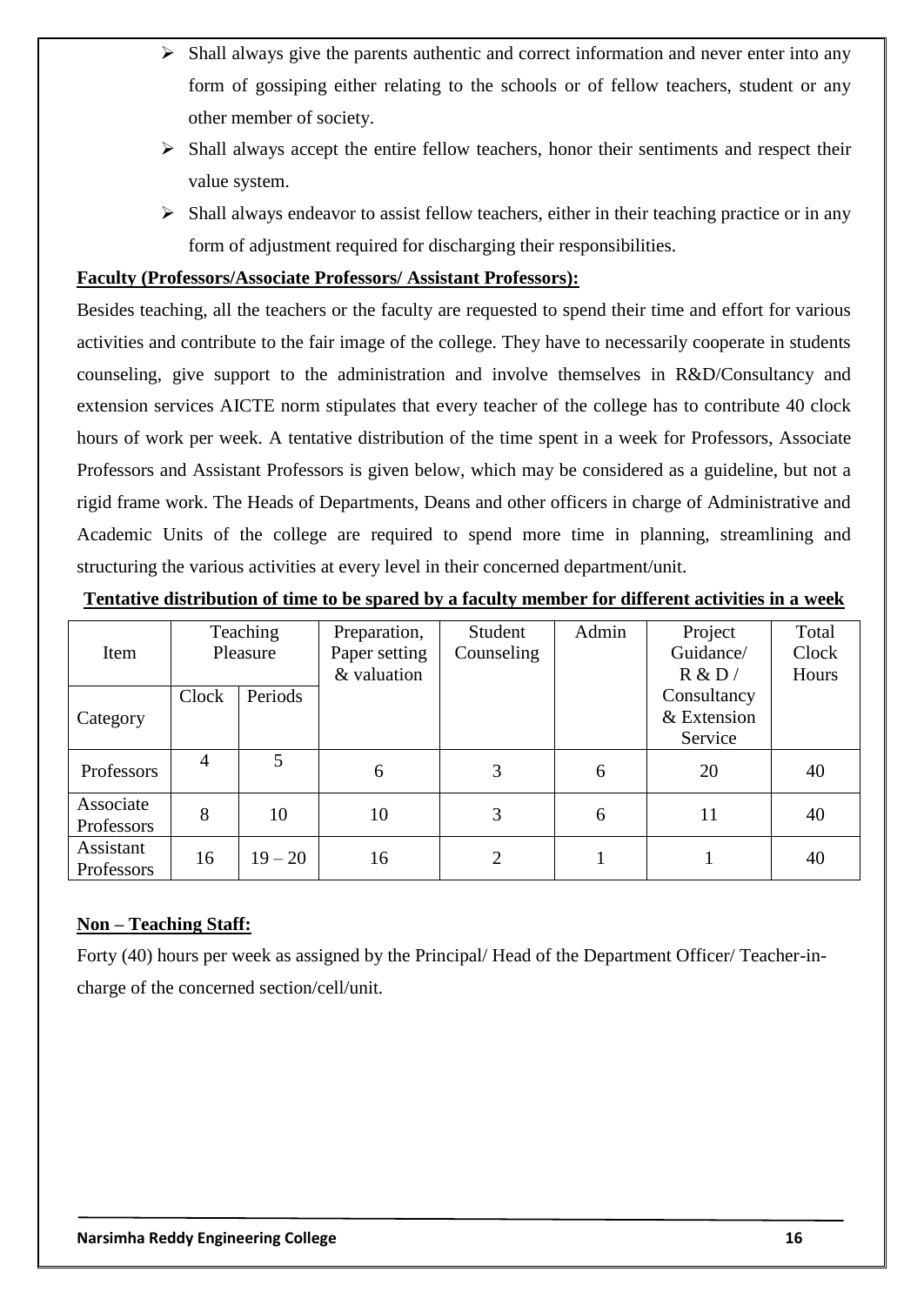- $\triangleright$  Shall always give the parents authentic and correct information and never enter into any form of gossiping either relating to the schools or of fellow teachers, student or any other member of society.
- $\triangleright$  Shall always accept the entire fellow teachers, honor their sentiments and respect their value system.
- $\triangleright$  Shall always endeavor to assist fellow teachers, either in their teaching practice or in any form of adjustment required for discharging their responsibilities.

## **Faculty (Professors/Associate Professors/ Assistant Professors):**

Besides teaching, all the teachers or the faculty are requested to spend their time and effort for various activities and contribute to the fair image of the college. They have to necessarily cooperate in students counseling, give support to the administration and involve themselves in R&D/Consultancy and extension services AICTE norm stipulates that every teacher of the college has to contribute 40 clock hours of work per week. A tentative distribution of the time spent in a week for Professors, Associate Professors and Assistant Professors is given below, which may be considered as a guideline, but not a rigid frame work. The Heads of Departments, Deans and other officers in charge of Administrative and Academic Units of the college are required to spend more time in planning, streamlining and structuring the various activities at every level in their concerned department/unit.

### **Tentative distribution of time to be spared by a faculty member for different activities in a week**

|                         |                | Teaching  | Preparation,  | Student        | Admin | Project     | Total |
|-------------------------|----------------|-----------|---------------|----------------|-------|-------------|-------|
| Item                    | Pleasure       |           | Paper setting | Counseling     |       | Guidance/   | Clock |
|                         |                |           | & valuation   |                |       | R & D/      | Hours |
|                         | Clock          | Periods   |               |                |       | Consultancy |       |
| Category                |                |           |               |                |       | & Extension |       |
|                         |                |           |               |                |       | Service     |       |
| Professors              | $\overline{4}$ | 5         | 6             | 3              | 6     | 20          | 40    |
| Associate               | 8              | 10        | 10            | 3              | 6     | 11          | 40    |
| Professors              |                |           |               |                |       |             |       |
| Assistant<br>Professors | 16             | $19 - 20$ | 16            | $\overline{2}$ |       |             | 40    |

## **Non – Teaching Staff:**

Forty (40) hours per week as assigned by the Principal/ Head of the Department Officer/ Teacher-incharge of the concerned section/cell/unit.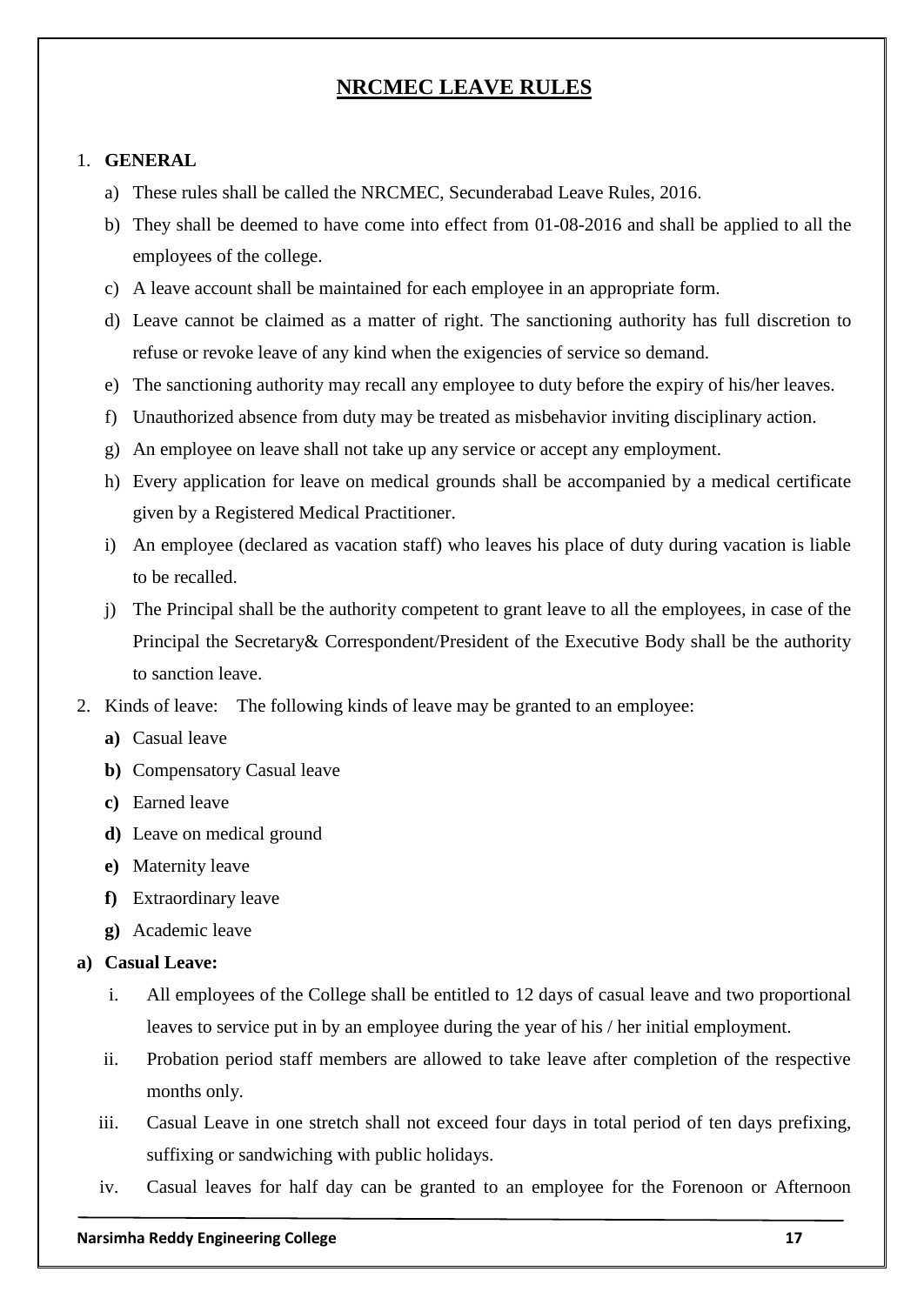## **NRCMEC LEAVE RULES**

#### 1. **GENERAL**

- a) These rules shall be called the NRCMEC, Secunderabad Leave Rules, 2016.
- b) They shall be deemed to have come into effect from 01-08-2016 and shall be applied to all the employees of the college.
- c) A leave account shall be maintained for each employee in an appropriate form.
- d) Leave cannot be claimed as a matter of right. The sanctioning authority has full discretion to refuse or revoke leave of any kind when the exigencies of service so demand.
- e) The sanctioning authority may recall any employee to duty before the expiry of his/her leaves.
- f) Unauthorized absence from duty may be treated as misbehavior inviting disciplinary action.
- g) An employee on leave shall not take up any service or accept any employment.
- h) Every application for leave on medical grounds shall be accompanied by a medical certificate given by a Registered Medical Practitioner.
- i) An employee (declared as vacation staff) who leaves his place of duty during vacation is liable to be recalled.
- j) The Principal shall be the authority competent to grant leave to all the employees, in case of the Principal the Secretary& Correspondent/President of the Executive Body shall be the authority to sanction leave.
- 2. Kinds of leave: The following kinds of leave may be granted to an employee:
	- **a)** Casual leave
	- **b)** Compensatory Casual leave
	- **c)** Earned leave
	- **d)** Leave on medical ground
	- **e)** Maternity leave
	- **f)** Extraordinary leave
	- **g)** Academic leave

#### **a) Casual Leave:**

- i. All employees of the College shall be entitled to 12 days of casual leave and two proportional leaves to service put in by an employee during the year of his / her initial employment.
- ii. Probation period staff members are allowed to take leave after completion of the respective months only.
- iii. Casual Leave in one stretch shall not exceed four days in total period of ten days prefixing, suffixing or sandwiching with public holidays.
- iv. Casual leaves for half day can be granted to an employee for the Forenoon or Afternoon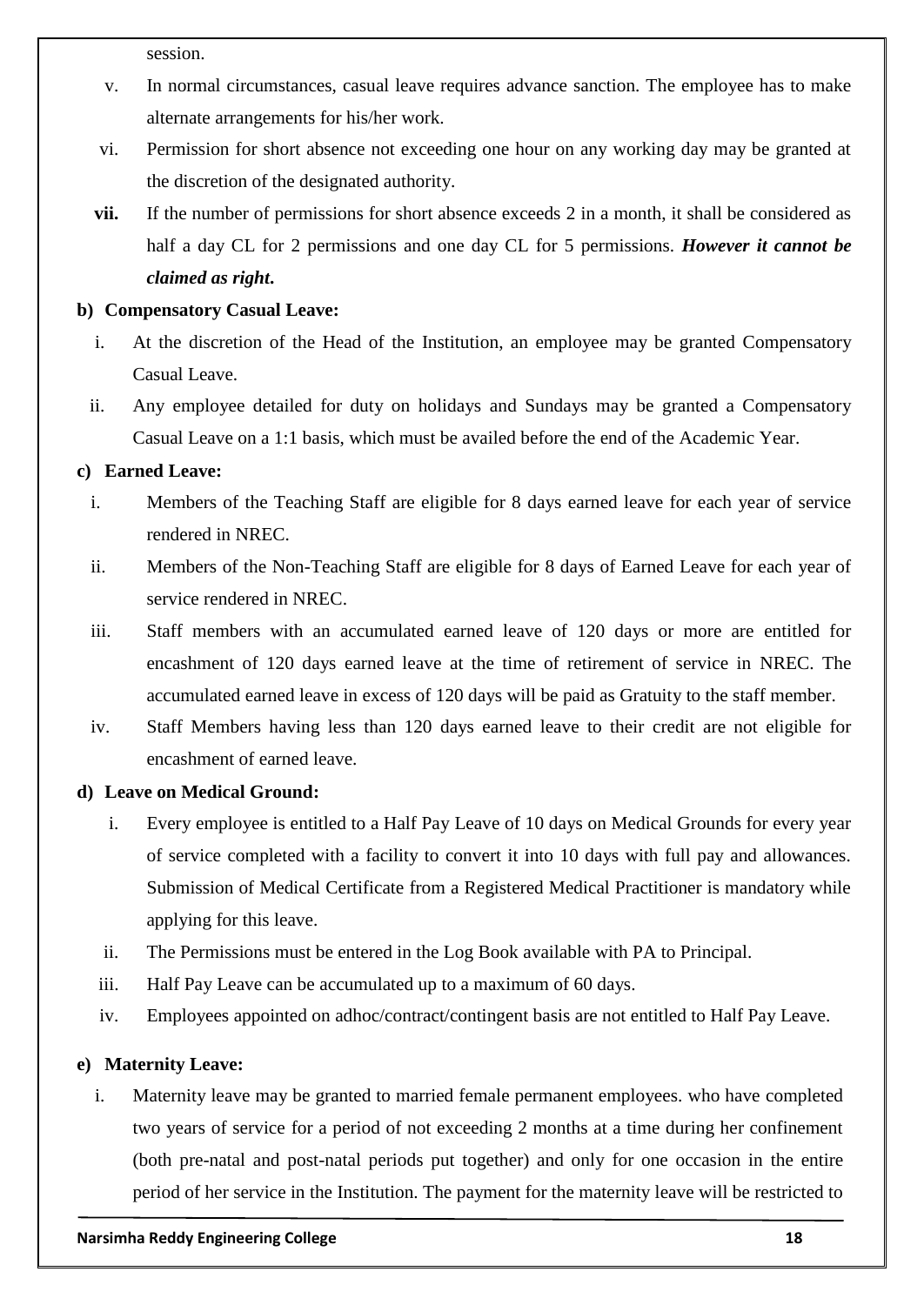session.

- v. In normal circumstances, casual leave requires advance sanction. The employee has to make alternate arrangements for his/her work.
- vi. Permission for short absence not exceeding one hour on any working day may be granted at the discretion of the designated authority.
- **vii.** If the number of permissions for short absence exceeds 2 in a month, it shall be considered as half a day CL for 2 permissions and one day CL for 5 permissions. *However it cannot be claimed as right***.**

## **b) Compensatory Casual Leave:**

- i. At the discretion of the Head of the Institution, an employee may be granted Compensatory Casual Leave.
- ii. Any employee detailed for duty on holidays and Sundays may be granted a Compensatory Casual Leave on a 1:1 basis, which must be availed before the end of the Academic Year.

## **c) Earned Leave:**

- i. Members of the Teaching Staff are eligible for 8 days earned leave for each year of service rendered in NREC.
- ii. Members of the Non-Teaching Staff are eligible for 8 days of Earned Leave for each year of service rendered in NREC.
- iii. Staff members with an accumulated earned leave of 120 days or more are entitled for encashment of 120 days earned leave at the time of retirement of service in NREC. The accumulated earned leave in excess of 120 days will be paid as Gratuity to the staff member.
- iv. Staff Members having less than 120 days earned leave to their credit are not eligible for encashment of earned leave.

## **d) Leave on Medical Ground:**

- i. Every employee is entitled to a Half Pay Leave of 10 days on Medical Grounds for every year of service completed with a facility to convert it into 10 days with full pay and allowances. Submission of Medical Certificate from a Registered Medical Practitioner is mandatory while applying for this leave.
- ii. The Permissions must be entered in the Log Book available with PA to Principal.
- iii. Half Pay Leave can be accumulated up to a maximum of 60 days.
- iv. Employees appointed on adhoc/contract/contingent basis are not entitled to Half Pay Leave.

## **e) Maternity Leave:**

i. Maternity leave may be granted to married female permanent employees. who have completed two years of service for a period of not exceeding 2 months at a time during her confinement (both pre-natal and post-natal periods put together) and only for one occasion in the entire period of her service in the Institution. The payment for the maternity leave will be restricted to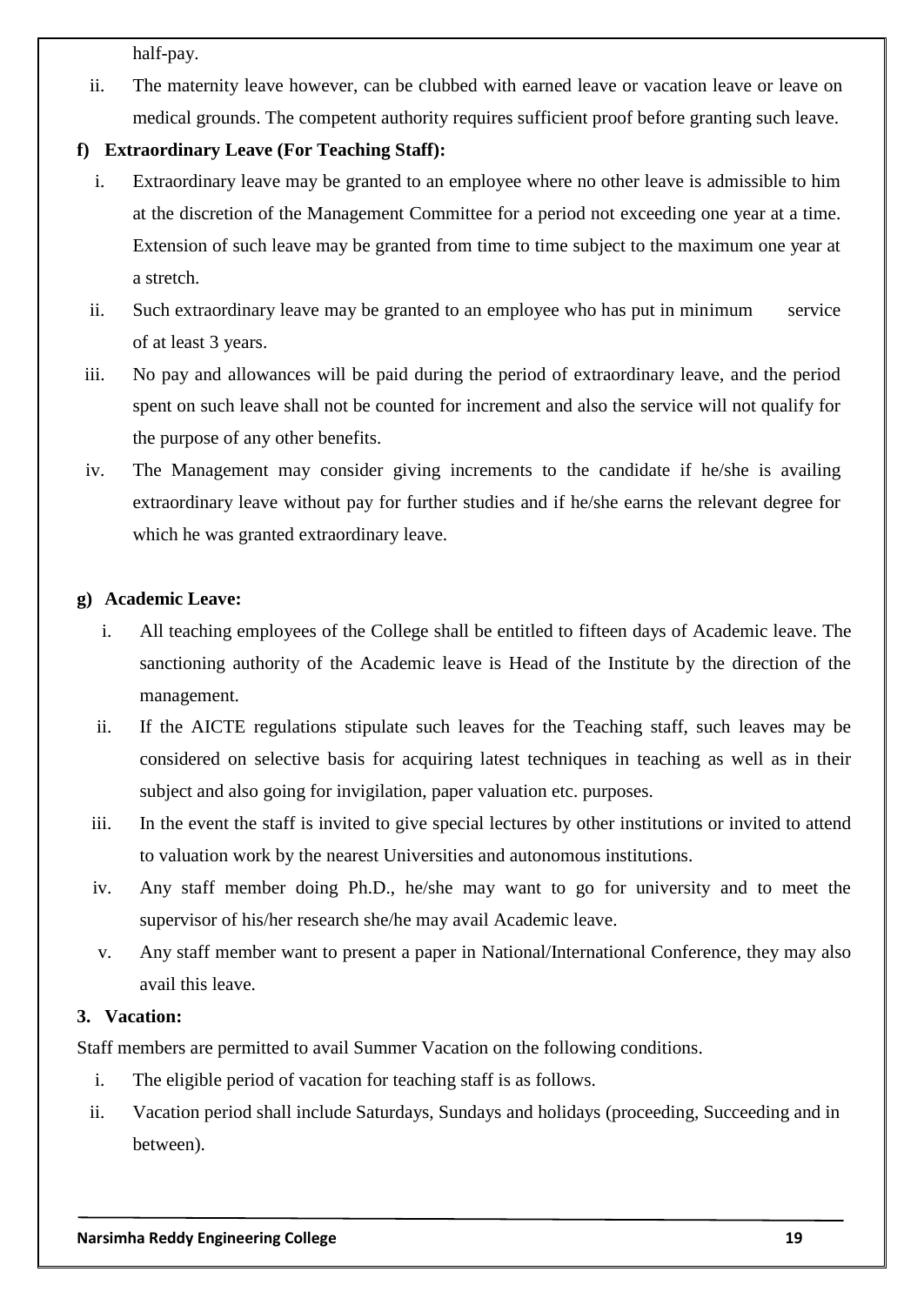half-pay.

ii. The maternity leave however, can be clubbed with earned leave or vacation leave or leave on medical grounds. The competent authority requires sufficient proof before granting such leave.

## **f) Extraordinary Leave (For Teaching Staff):**

- i. Extraordinary leave may be granted to an employee where no other leave is admissible to him at the discretion of the Management Committee for a period not exceeding one year at a time. Extension of such leave may be granted from time to time subject to the maximum one year at a stretch.
- ii. Such extraordinary leave may be granted to an employee who has put in minimum service of at least 3 years.
- iii. No pay and allowances will be paid during the period of extraordinary leave, and the period spent on such leave shall not be counted for increment and also the service will not qualify for the purpose of any other benefits.
- iv. The Management may consider giving increments to the candidate if he/she is availing extraordinary leave without pay for further studies and if he/she earns the relevant degree for which he was granted extraordinary leave.

#### **g) Academic Leave:**

- i. All teaching employees of the College shall be entitled to fifteen days of Academic leave. The sanctioning authority of the Academic leave is Head of the Institute by the direction of the management.
- ii. If the AICTE regulations stipulate such leaves for the Teaching staff, such leaves may be considered on selective basis for acquiring latest techniques in teaching as well as in their subject and also going for invigilation, paper valuation etc. purposes.
- iii. In the event the staff is invited to give special lectures by other institutions or invited to attend to valuation work by the nearest Universities and autonomous institutions.
- iv. Any staff member doing Ph.D., he/she may want to go for university and to meet the supervisor of his/her research she/he may avail Academic leave.
- v. Any staff member want to present a paper in National/International Conference, they may also avail this leave.

### **3. Vacation:**

Staff members are permitted to avail Summer Vacation on the following conditions.

- i. The eligible period of vacation for teaching staff is as follows.
- ii. Vacation period shall include Saturdays, Sundays and holidays (proceeding, Succeeding and in between).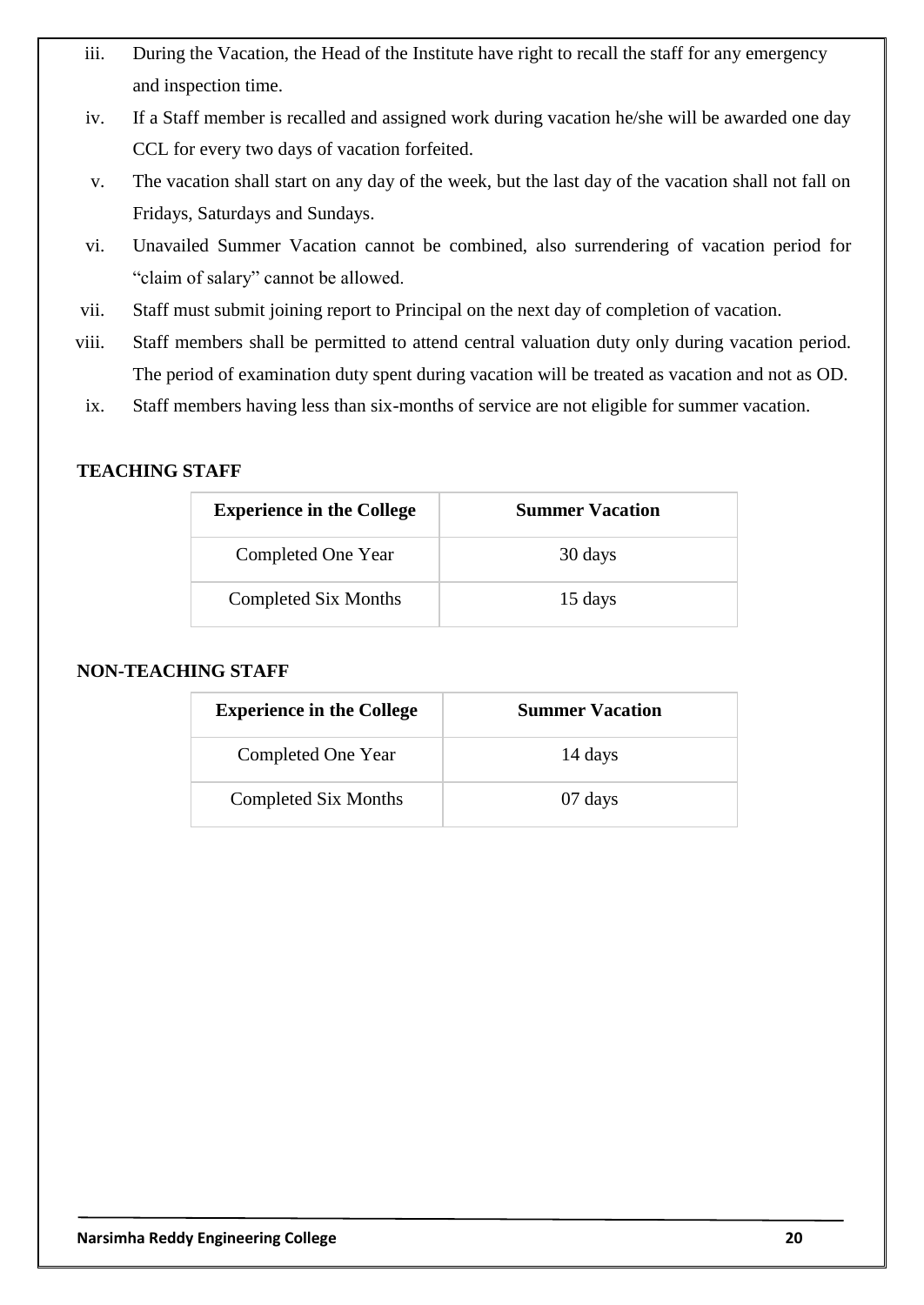- iii. During the Vacation, the Head of the Institute have right to recall the staff for any emergency and inspection time.
- iv. If a Staff member is recalled and assigned work during vacation he/she will be awarded one day CCL for every two days of vacation forfeited.
- v. The vacation shall start on any day of the week, but the last day of the vacation shall not fall on Fridays, Saturdays and Sundays.
- vi. Unavailed Summer Vacation cannot be combined, also surrendering of vacation period for "claim of salary" cannot be allowed.
- vii. Staff must submit joining report to Principal on the next day of completion of vacation.
- viii. Staff members shall be permitted to attend central valuation duty only during vacation period. The period of examination duty spent during vacation will be treated as vacation and not as OD.
- ix. Staff members having less than six-months of service are not eligible for summer vacation.

### **TEACHING STAFF**

| <b>Experience in the College</b> | <b>Summer Vacation</b> |
|----------------------------------|------------------------|
| Completed One Year               | 30 days                |
| Completed Six Months             | 15 days                |

#### **NON-TEACHING STAFF**

| <b>Experience in the College</b> | <b>Summer Vacation</b> |
|----------------------------------|------------------------|
| Completed One Year               | 14 days                |
| Completed Six Months             | 07 days                |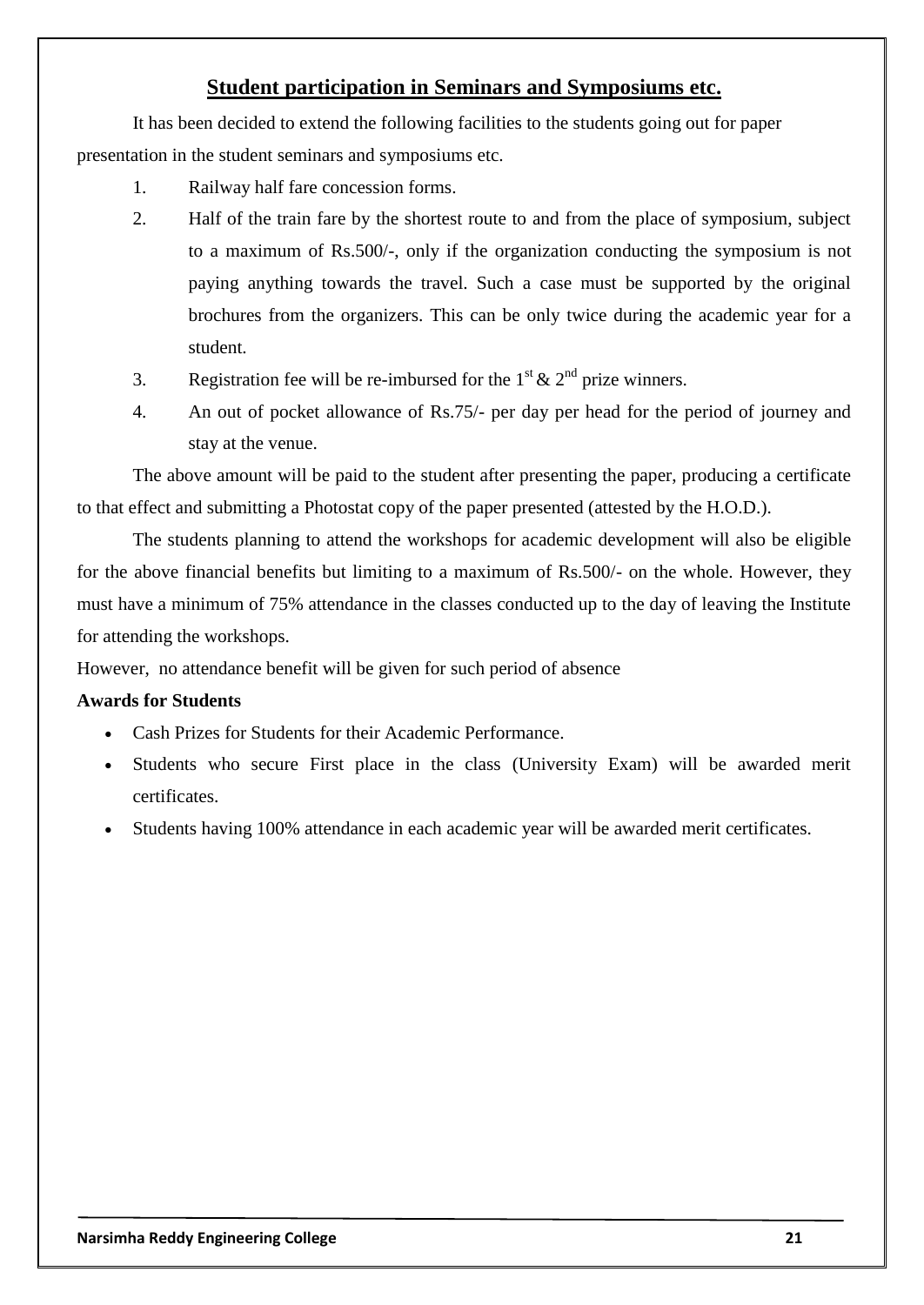## **Student participation in Seminars and Symposiums etc.**

It has been decided to extend the following facilities to the students going out for paper presentation in the student seminars and symposiums etc.

- 1. Railway half fare concession forms.
- 2. Half of the train fare by the shortest route to and from the place of symposium, subject to a maximum of Rs.500/-, only if the organization conducting the symposium is not paying anything towards the travel. Such a case must be supported by the original brochures from the organizers. This can be only twice during the academic year for a student.
- 3. Registration fee will be re-imbursed for the  $1<sup>st</sup> \& 2<sup>nd</sup>$  prize winners.
- 4. An out of pocket allowance of Rs.75/- per day per head for the period of journey and stay at the venue.

The above amount will be paid to the student after presenting the paper, producing a certificate to that effect and submitting a Photostat copy of the paper presented (attested by the H.O.D.).

The students planning to attend the workshops for academic development will also be eligible for the above financial benefits but limiting to a maximum of Rs.500/- on the whole. However, they must have a minimum of 75% attendance in the classes conducted up to the day of leaving the Institute for attending the workshops.

However, no attendance benefit will be given for such period of absence

#### **Awards for Students**

- Cash Prizes for Students for their Academic Performance.
- Students who secure First place in the class (University Exam) will be awarded merit certificates.
- Students having 100% attendance in each academic year will be awarded merit certificates.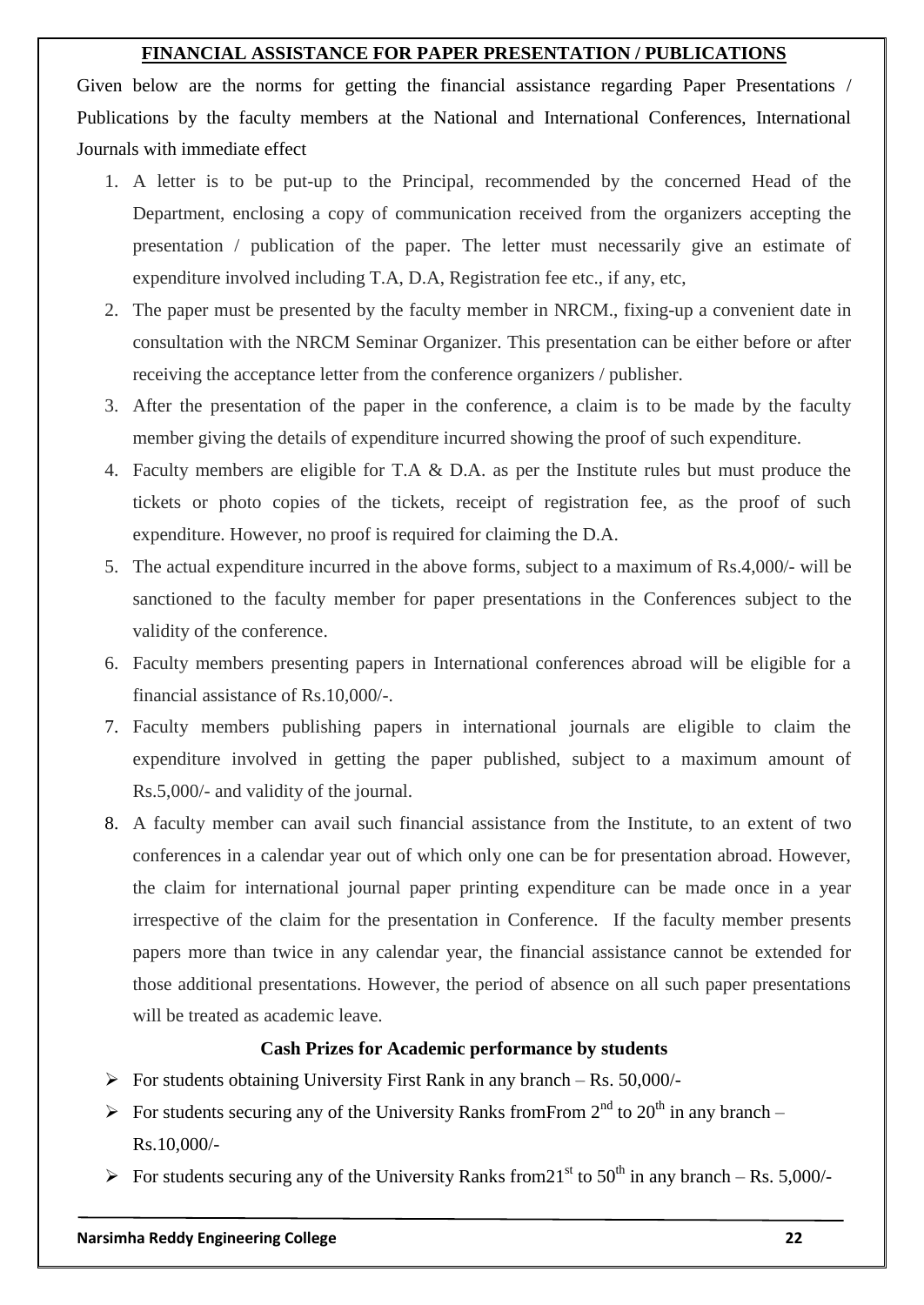#### **FINANCIAL ASSISTANCE FOR PAPER PRESENTATION / PUBLICATIONS**

Given below are the norms for getting the financial assistance regarding Paper Presentations / Publications by the faculty members at the National and International Conferences, International Journals with immediate effect

- 1. A letter is to be put-up to the Principal, recommended by the concerned Head of the Department, enclosing a copy of communication received from the organizers accepting the presentation / publication of the paper. The letter must necessarily give an estimate of expenditure involved including T.A, D.A, Registration fee etc., if any, etc,
- 2. The paper must be presented by the faculty member in NRCM., fixing-up a convenient date in consultation with the NRCM Seminar Organizer. This presentation can be either before or after receiving the acceptance letter from the conference organizers / publisher.
- 3. After the presentation of the paper in the conference, a claim is to be made by the faculty member giving the details of expenditure incurred showing the proof of such expenditure.
- 4. Faculty members are eligible for T.A & D.A. as per the Institute rules but must produce the tickets or photo copies of the tickets, receipt of registration fee, as the proof of such expenditure. However, no proof is required for claiming the D.A.
- 5. The actual expenditure incurred in the above forms, subject to a maximum of Rs.4,000/- will be sanctioned to the faculty member for paper presentations in the Conferences subject to the validity of the conference.
- 6. Faculty members presenting papers in International conferences abroad will be eligible for a financial assistance of Rs.10,000/-.
- 7. Faculty members publishing papers in international journals are eligible to claim the expenditure involved in getting the paper published, subject to a maximum amount of Rs.5,000/- and validity of the journal.
- 8. A faculty member can avail such financial assistance from the Institute, to an extent of two conferences in a calendar year out of which only one can be for presentation abroad. However, the claim for international journal paper printing expenditure can be made once in a year irrespective of the claim for the presentation in Conference. If the faculty member presents papers more than twice in any calendar year, the financial assistance cannot be extended for those additional presentations. However, the period of absence on all such paper presentations will be treated as academic leave.

### **Cash Prizes for Academic performance by students**

- $\triangleright$  For students obtaining University First Rank in any branch Rs. 50,000/-
- For students securing any of the University Ranks from From  $2<sup>nd</sup>$  to  $20<sup>th</sup>$  in any branch Rs.10,000/-
- For students securing any of the University Ranks from  $21<sup>st</sup>$  to  $50<sup>th</sup>$  in any branch Rs. 5,000/-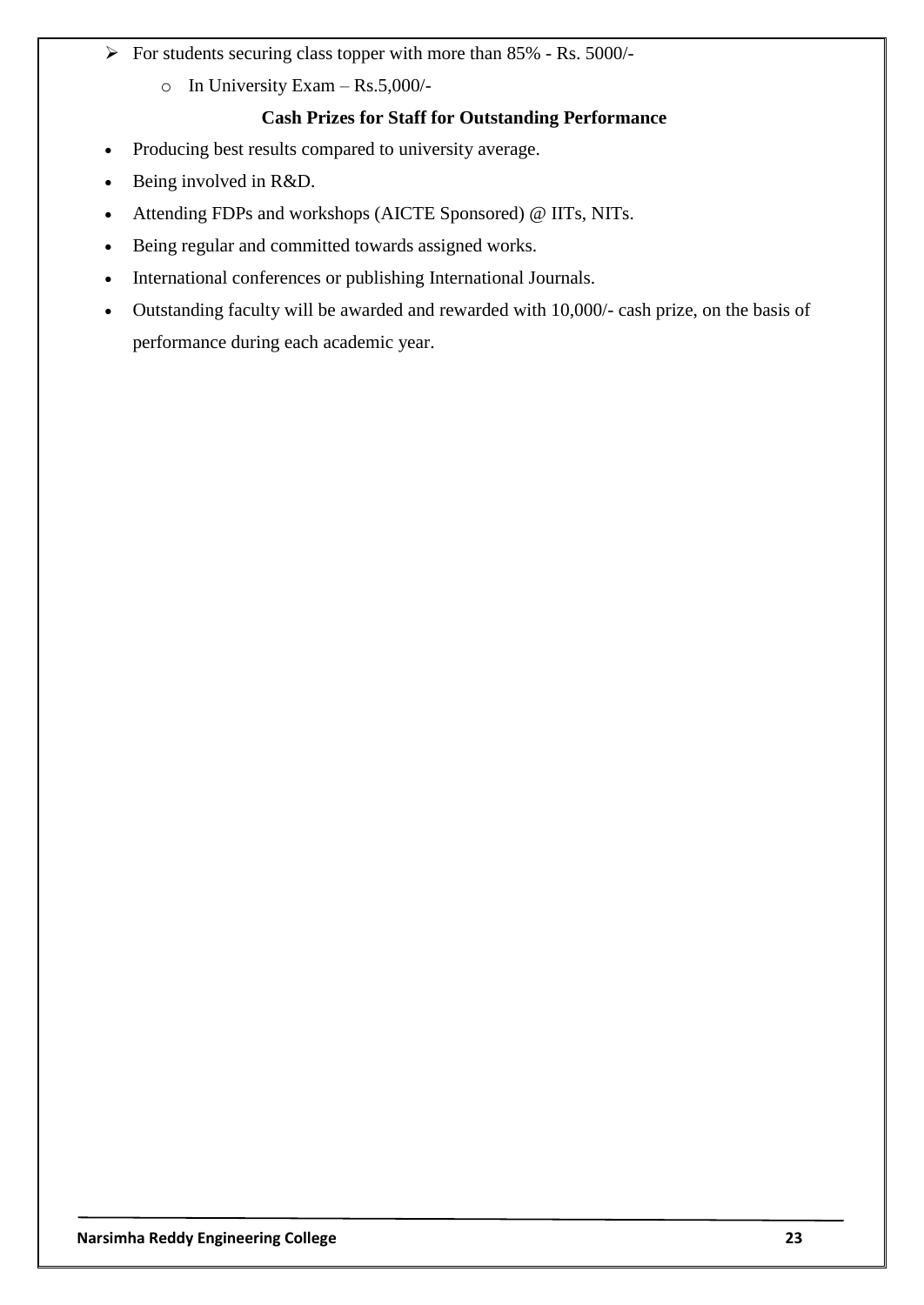- $\triangleright$  For students securing class topper with more than 85% Rs. 5000/
	- o In University Exam Rs.5,000/-

## **Cash Prizes for Staff for Outstanding Performance**

- Producing best results compared to university average.
- Being involved in R&D.
- Attending FDPs and workshops (AICTE Sponsored) @ IITs, NITs.
- Being regular and committed towards assigned works.
- International conferences or publishing International Journals.
- Outstanding faculty will be awarded and rewarded with 10,000/- cash prize, on the basis of performance during each academic year.